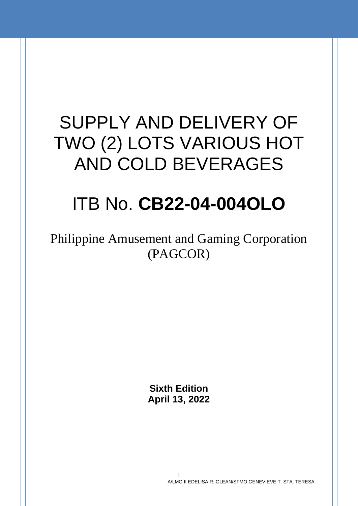# SUPPLY AND DELIVERY OF TWO (2) LOTS VARIOUS HOT AND COLD BEVERAGES

# ITB No. **CB22-04-004OLO**

Philippine Amusement and Gaming Corporation (PAGCOR)

> **Sixth Edition April 13, 2022**

> > 1 A/LMO II EDELISA R. GLEAN/SFMO GENEVIEVE T. STA. TERESA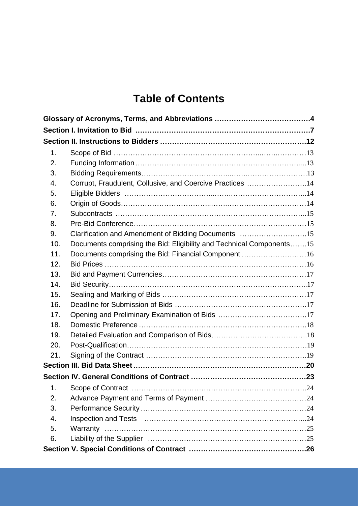## **Table of Contents**

| 1.  |                                                                      |  |
|-----|----------------------------------------------------------------------|--|
| 2.  |                                                                      |  |
| 3.  |                                                                      |  |
| 4.  | Corrupt, Fraudulent, Collusive, and Coercive Practices 14            |  |
| 5.  |                                                                      |  |
| 6.  |                                                                      |  |
| 7.  |                                                                      |  |
| 8.  |                                                                      |  |
| 9.  | Clarification and Amendment of Bidding Documents 15                  |  |
| 10. | Documents comprising the Bid: Eligibility and Technical Components15 |  |
| 11. | Documents comprising the Bid: Financial Component 16                 |  |
| 12. |                                                                      |  |
| 13. |                                                                      |  |
| 14. |                                                                      |  |
| 15. |                                                                      |  |
| 16. |                                                                      |  |
| 17. |                                                                      |  |
| 18. |                                                                      |  |
| 19. |                                                                      |  |
| 20. |                                                                      |  |
| 21. |                                                                      |  |
|     |                                                                      |  |
|     |                                                                      |  |
| 1.  |                                                                      |  |
| 2.  |                                                                      |  |
| 3.  |                                                                      |  |
| 4.  |                                                                      |  |
| 5.  |                                                                      |  |
| 6.  |                                                                      |  |
|     |                                                                      |  |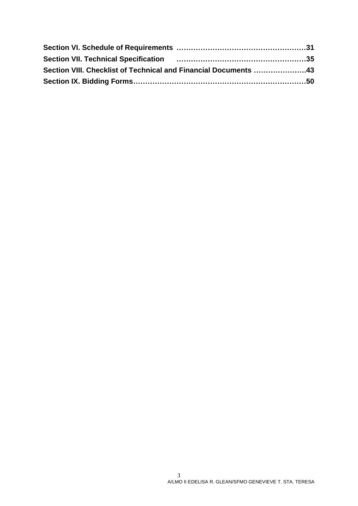<span id="page-2-0"></span>

| Section VIII. Checklist of Technical and Financial Documents 43 |
|-----------------------------------------------------------------|
|                                                                 |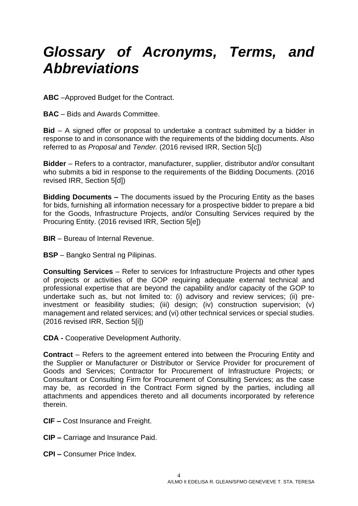# *Glossary of Acronyms, Terms, and Abbreviations*

**ABC** –Approved Budget for the Contract.

**BAC** – Bids and Awards Committee.

**Bid** – A signed offer or proposal to undertake a contract submitted by a bidder in response to and in consonance with the requirements of the bidding documents. Also referred to as *Proposal* and *Tender.* (2016 revised IRR, Section 5[c])

**Bidder** – Refers to a contractor, manufacturer, supplier, distributor and/or consultant who submits a bid in response to the requirements of the Bidding Documents. (2016 revised IRR, Section 5[d])

**Bidding Documents –** The documents issued by the Procuring Entity as the bases for bids, furnishing all information necessary for a prospective bidder to prepare a bid for the Goods, Infrastructure Projects, and/or Consulting Services required by the Procuring Entity. (2016 revised IRR, Section 5[e])

**BIR** – Bureau of Internal Revenue.

**BSP** – Bangko Sentral ng Pilipinas.

**Consulting Services** – Refer to services for Infrastructure Projects and other types of projects or activities of the GOP requiring adequate external technical and professional expertise that are beyond the capability and/or capacity of the GOP to undertake such as, but not limited to: (i) advisory and review services; (ii) preinvestment or feasibility studies; (iii) design; (iv) construction supervision; (v) management and related services; and (vi) other technical services or special studies. (2016 revised IRR, Section 5[i])

**CDA -** Cooperative Development Authority.

**Contract** – Refers to the agreement entered into between the Procuring Entity and the Supplier or Manufacturer or Distributor or Service Provider for procurement of Goods and Services; Contractor for Procurement of Infrastructure Projects; or Consultant or Consulting Firm for Procurement of Consulting Services; as the case may be, as recorded in the Contract Form signed by the parties, including all attachments and appendices thereto and all documents incorporated by reference therein.

- **CIF –** Cost Insurance and Freight.
- **CIP –** Carriage and Insurance Paid.
- **CPI –** Consumer Price Index.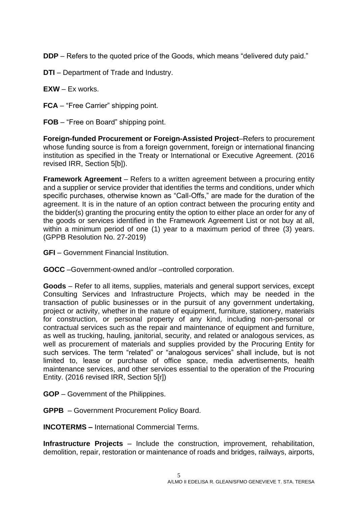**DDP** – Refers to the quoted price of the Goods, which means "delivered duty paid."

- **DTI**  Department of Trade and Industry.
- **EXW** Ex works.
- **FCA** "Free Carrier" shipping point.
- **FOB** "Free on Board" shipping point.

**Foreign-funded Procurement or Foreign-Assisted Project**–Refers to procurement whose funding source is from a foreign government, foreign or international financing institution as specified in the Treaty or International or Executive Agreement. (2016 revised IRR, Section 5[b]).

**Framework Agreement** – Refers to a written agreement between a procuring entity and a supplier or service provider that identifies the terms and conditions, under which specific purchases, otherwise known as "Call-Offs," are made for the duration of the agreement. It is in the nature of an option contract between the procuring entity and the bidder(s) granting the procuring entity the option to either place an order for any of the goods or services identified in the Framework Agreement List or not buy at all, within a minimum period of one (1) year to a maximum period of three (3) years. (GPPB Resolution No. 27-2019)

**GFI** – Government Financial Institution.

**GOCC** –Government-owned and/or –controlled corporation.

**Goods** – Refer to all items, supplies, materials and general support services, except Consulting Services and Infrastructure Projects, which may be needed in the transaction of public businesses or in the pursuit of any government undertaking, project or activity, whether in the nature of equipment, furniture, stationery, materials for construction, or personal property of any kind, including non-personal or contractual services such as the repair and maintenance of equipment and furniture, as well as trucking, hauling, janitorial, security, and related or analogous services, as well as procurement of materials and supplies provided by the Procuring Entity for such services. The term "related" or "analogous services" shall include, but is not limited to, lease or purchase of office space, media advertisements, health maintenance services, and other services essential to the operation of the Procuring Entity. (2016 revised IRR, Section 5[r])

- **GOP**  Government of the Philippines.
- **GPPB**  Government Procurement Policy Board.

**INCOTERMS –** International Commercial Terms.

**Infrastructure Projects** – Include the construction, improvement, rehabilitation, demolition, repair, restoration or maintenance of roads and bridges, railways, airports,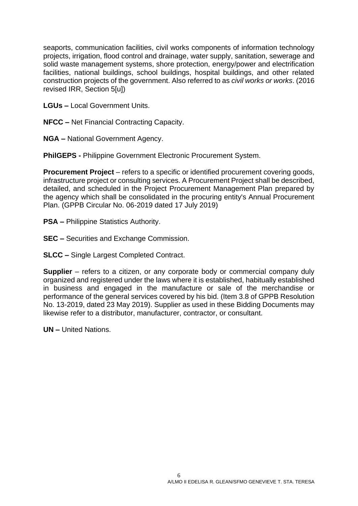seaports, communication facilities, civil works components of information technology projects, irrigation, flood control and drainage, water supply, sanitation, sewerage and solid waste management systems, shore protection, energy/power and electrification facilities, national buildings, school buildings, hospital buildings, and other related construction projects of the government. Also referred to as *civil works or works*. (2016 revised IRR, Section 5[u])

**LGUs –** Local Government Units.

**NFCC –** Net Financial Contracting Capacity.

**NGA –** National Government Agency.

**PhilGEPS -** Philippine Government Electronic Procurement System.

**Procurement Project** – refers to a specific or identified procurement covering goods, infrastructure project or consulting services. A Procurement Project shall be described, detailed, and scheduled in the Project Procurement Management Plan prepared by the agency which shall be consolidated in the procuring entity's Annual Procurement Plan. (GPPB Circular No. 06-2019 dated 17 July 2019)

- **PSA –** Philippine Statistics Authority.
- **SEC –** Securities and Exchange Commission.

**SLCC –** Single Largest Completed Contract.

**Supplier** – refers to a citizen, or any corporate body or commercial company duly organized and registered under the laws where it is established, habitually established in business and engaged in the manufacture or sale of the merchandise or performance of the general services covered by his bid. (Item 3.8 of GPPB Resolution No. 13-2019, dated 23 May 2019). Supplier as used in these Bidding Documents may likewise refer to a distributor, manufacturer, contractor, or consultant.

**UN –** United Nations.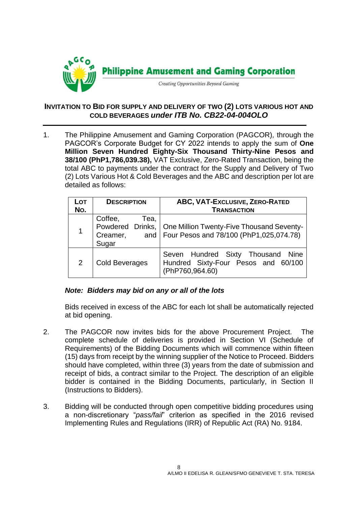

#### **INVITATION TO BID FOR SUPPLY AND DELIVERY OF TWO (2) LOTS VARIOUS HOT AND COLD BEVERAGES** *under ITB No. CB22-04-004OLO*

1. The Philippine Amusement and Gaming Corporation (PAGCOR)*,* through the PAGCOR's Corporate Budget for CY 2022 intends to apply the sum of **One Million Seven Hundred Eighty-Six Thousand Thirty-Nine Pesos and 38/100 (PhP1,786,039.38),** VAT Exclusive, Zero-Rated Transaction, being the total ABC to payments under the contract for the Supply and Delivery of Two (2) Lots Various Hot & Cold Beverages and the ABC and description per lot are detailed as follows:

| LOT<br>No. | <b>DESCRIPTION</b>                   | <b>ABC, VAT-EXCLUSIVE, ZERO-RATED</b><br><b>TRANSACTION</b>                                                   |
|------------|--------------------------------------|---------------------------------------------------------------------------------------------------------------|
|            | Coffee,<br>Tea,<br>Creamer,<br>Sugar | Powdered Drinks,   One Million Twenty-Five Thousand Seventy-<br>and   Four Pesos and 78/100 (PhP1,025,074.78) |
| 2          | <b>Cold Beverages</b>                | Seven Hundred Sixty Thousand<br>Nine<br>Hundred Sixty-Four Pesos and 60/100<br>(PhP760,964.60)                |

#### *Note: Bidders may bid on any or all of the lots*

Bids received in excess of the ABC for each lot shall be automatically rejected at bid opening.

- 2. The PAGCOR now invites bids for the above Procurement Project. The complete schedule of deliveries is provided in Section VI (Schedule of Requirements) of the Bidding Documents which will commence within fifteen (15) days from receipt by the winning supplier of the Notice to Proceed. Bidders should have completed, within three (3) years from the date of submission and receipt of bids, a contract similar to the Project. The description of an eligible bidder is contained in the Bidding Documents, particularly, in Section II (Instructions to Bidders).
- 3. Bidding will be conducted through open competitive bidding procedures using a non-discretionary "*pass/fail*" criterion as specified in the 2016 revised Implementing Rules and Regulations (IRR) of Republic Act (RA) No. 9184.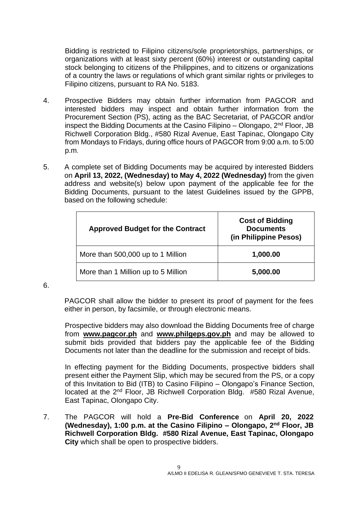Bidding is restricted to Filipino citizens/sole proprietorships, partnerships, or organizations with at least sixty percent (60%) interest or outstanding capital stock belonging to citizens of the Philippines, and to citizens or organizations of a country the laws or regulations of which grant similar rights or privileges to Filipino citizens, pursuant to RA No. 5183.

- 4. Prospective Bidders may obtain further information from PAGCOR and interested bidders may inspect and obtain further information from the Procurement Section (PS), acting as the BAC Secretariat, of PAGCOR and/or inspect the Bidding Documents at the Casino Filipino – Olongapo, 2nd Floor, JB Richwell Corporation Bldg., #580 Rizal Avenue, East Tapinac, Olongapo City from Mondays to Fridays, during office hours of PAGCOR from 9:00 a.m. to 5:00 p.m.
- 5. A complete set of Bidding Documents may be acquired by interested Bidders on **April 13, 2022, (Wednesday) to May 4, 2022 (Wednesday)** from the given address and website(s) below upon payment of the applicable fee for the Bidding Documents, pursuant to the latest Guidelines issued by the GPPB, based on the following schedule:

| <b>Approved Budget for the Contract</b> | <b>Cost of Bidding</b><br><b>Documents</b><br>(in Philippine Pesos) |
|-----------------------------------------|---------------------------------------------------------------------|
| More than 500,000 up to 1 Million       | 1,000.00                                                            |
| More than 1 Million up to 5 Million     | 5,000.00                                                            |

6.

PAGCOR shall allow the bidder to present its proof of payment for the fees either in person, by facsimile, or through electronic means.

Prospective bidders may also download the Bidding Documents free of charge from **[www.pagcor.ph](http://www.pagcor.ph/)** and **www.philgeps.gov.ph** and may be allowed to submit bids provided that bidders pay the applicable fee of the Bidding Documents not later than the deadline for the submission and receipt of bids.

In effecting payment for the Bidding Documents, prospective bidders shall present either the Payment Slip, which may be secured from the PS, or a copy of this Invitation to Bid (ITB) to Casino Filipino – Olongapo's Finance Section, located at the 2<sup>nd</sup> Floor, JB Richwell Corporation Bldg. #580 Rizal Avenue, East Tapinac, Olongapo City.

7. The PAGCOR will hold a **Pre-Bid Conference** on **April 20, 2022 (Wednesday), 1:00 p.m. at the Casino Filipino – Olongapo, 2nd Floor, JB Richwell Corporation Bldg. #580 Rizal Avenue, East Tapinac, Olongapo City** which shall be open to prospective bidders.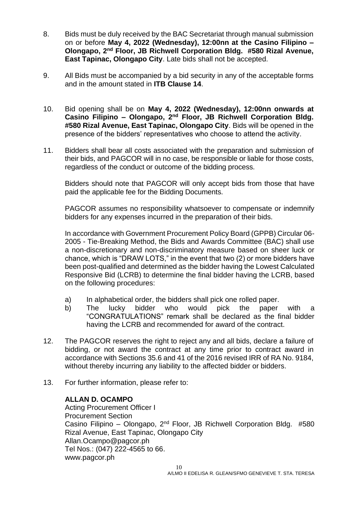- 8. Bids must be duly received by the BAC Secretariat through manual submission on or before **May 4, 2022 (Wednesday), 12:00nn at the Casino Filipino – Olongapo, 2nd Floor, JB Richwell Corporation Bldg. #580 Rizal Avenue, East Tapinac, Olongapo City**. Late bids shall not be accepted.
- 9. All Bids must be accompanied by a bid security in any of the acceptable forms and in the amount stated in **ITB Clause 14**.
- 10. Bid opening shall be on **May 4, 2022 (Wednesday), 12:00nn onwards at Casino Filipino – Olongapo, 2nd Floor, JB Richwell Corporation Bldg. #580 Rizal Avenue, East Tapinac, Olongapo City**. Bids will be opened in the presence of the bidders' representatives who choose to attend the activity.
- 11. Bidders shall bear all costs associated with the preparation and submission of their bids, and PAGCOR will in no case, be responsible or liable for those costs, regardless of the conduct or outcome of the bidding process.

Bidders should note that PAGCOR will only accept bids from those that have paid the applicable fee for the Bidding Documents.

PAGCOR assumes no responsibility whatsoever to compensate or indemnify bidders for any expenses incurred in the preparation of their bids.

In accordance with Government Procurement Policy Board (GPPB) Circular 06- 2005 - Tie-Breaking Method, the Bids and Awards Committee (BAC) shall use a non-discretionary and non-discriminatory measure based on sheer luck or chance, which is "DRAW LOTS," in the event that two (2) or more bidders have been post-qualified and determined as the bidder having the Lowest Calculated Responsive Bid (LCRB) to determine the final bidder having the LCRB, based on the following procedures:

- a) In alphabetical order, the bidders shall pick one rolled paper.
- b) The lucky bidder who would pick the paper with a "CONGRATULATIONS" remark shall be declared as the final bidder having the LCRB and recommended for award of the contract.
- 12. The PAGCOR reserves the right to reject any and all bids, declare a failure of bidding, or not award the contract at any time prior to contract award in accordance with Sections 35.6 and 41 of the 2016 revised IRR of RA No. 9184, without thereby incurring any liability to the affected bidder or bidders.
- 13. For further information, please refer to:

#### **ALLAN D. OCAMPO**

Acting Procurement Officer I Procurement Section Casino Filipino – Olongapo, 2nd Floor, JB Richwell Corporation Bldg. #580 Rizal Avenue, East Tapinac, Olongapo City Allan.Ocampo@pagcor.ph Tel Nos.: (047) 222-4565 to 66. www.pagcor.ph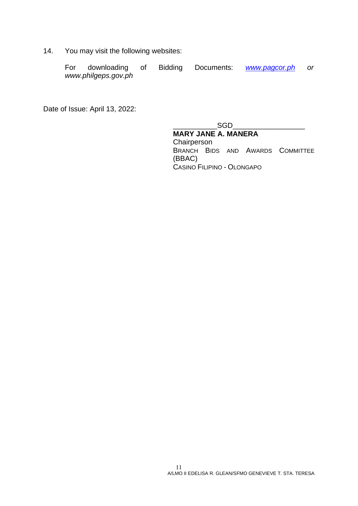14. You may visit the following websites:

| For | downloading of      | Bidding | Documents: | www.pagcor.ph |  |
|-----|---------------------|---------|------------|---------------|--|
|     | www.philgeps.gov.ph |         |            |               |  |

Date of Issue: April 13, 2022:

 $\_SGD$ 

**MARY JANE A. MANERA Chairperson** BRANCH BIDS AND AWARDS COMMITTEE (BBAC) CASINO FILIPINO - OLONGAPO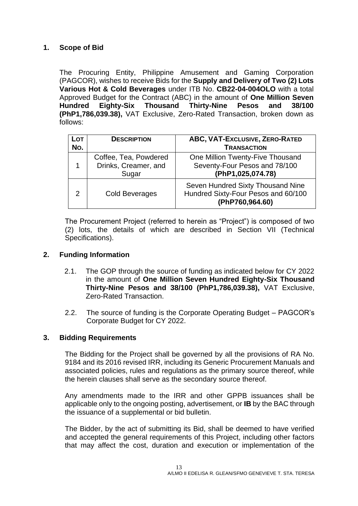#### <span id="page-12-0"></span>**1. Scope of Bid**

The Procuring Entity, Philippine Amusement and Gaming Corporation (PAGCOR), wishes to receive Bids for the **Supply and Delivery of Two (2) Lots Various Hot & Cold Beverages** under ITB No. **CB22-04-004OLO** with a total Approved Budget for the Contract (ABC) in the amount of **One Million Seven Hundred Eighty-Six Thousand Thirty-Nine Pesos and 38/100 (PhP1,786,039.38),** VAT Exclusive, Zero-Rated Transaction, broken down as follows:

| $\overline{\mathsf{LOT}}$<br>No. | <b>DESCRIPTION</b>                                     | ABC, VAT-Exclusive, ZERO-RATED<br><b>TRANSACTION</b>                                        |
|----------------------------------|--------------------------------------------------------|---------------------------------------------------------------------------------------------|
| 1                                | Coffee, Tea, Powdered<br>Drinks, Creamer, and<br>Sugar | One Million Twenty-Five Thousand<br>Seventy-Four Pesos and 78/100<br>(PhP1,025,074.78)      |
| $\mathcal{P}$                    | <b>Cold Beverages</b>                                  | Seven Hundred Sixty Thousand Nine<br>Hundred Sixty-Four Pesos and 60/100<br>(PhP760,964.60) |

The Procurement Project (referred to herein as "Project") is composed of two (2) lots, the details of which are described in Section VII (Technical Specifications).

#### <span id="page-12-1"></span>**2. Funding Information**

- 2.1. The GOP through the source of funding as indicated below for CY 2022 in the amount of **One Million Seven Hundred Eighty-Six Thousand Thirty-Nine Pesos and 38/100 (PhP1,786,039.38),** VAT Exclusive, Zero-Rated Transaction.
- 2.2. The source of funding is the Corporate Operating Budget PAGCOR's Corporate Budget for CY 2022.

#### <span id="page-12-2"></span>**3. Bidding Requirements**

The Bidding for the Project shall be governed by all the provisions of RA No. 9184 and its 2016 revised IRR, including its Generic Procurement Manuals and associated policies, rules and regulations as the primary source thereof, while the herein clauses shall serve as the secondary source thereof.

Any amendments made to the IRR and other GPPB issuances shall be applicable only to the ongoing posting, advertisement, or **IB** by the BAC through the issuance of a supplemental or bid bulletin.

The Bidder, by the act of submitting its Bid, shall be deemed to have verified and accepted the general requirements of this Project, including other factors that may affect the cost, duration and execution or implementation of the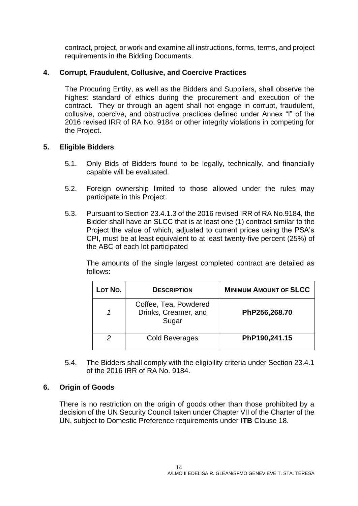contract, project, or work and examine all instructions, forms, terms, and project requirements in the Bidding Documents.

#### <span id="page-13-0"></span>**4. Corrupt, Fraudulent, Collusive, and Coercive Practices**

The Procuring Entity, as well as the Bidders and Suppliers, shall observe the highest standard of ethics during the procurement and execution of the contract. They or through an agent shall not engage in corrupt, fraudulent, collusive, coercive, and obstructive practices defined under Annex "I" of the 2016 revised IRR of RA No. 9184 or other integrity violations in competing for the Project.

#### <span id="page-13-1"></span>**5. Eligible Bidders**

- 5.1. Only Bids of Bidders found to be legally, technically, and financially capable will be evaluated.
- 5.2. Foreign ownership limited to those allowed under the rules may participate in this Project.
- 5.3. Pursuant to Section 23.4.1.3 of the 2016 revised IRR of RA No.9184, the Bidder shall have an SLCC that is at least one (1) contract similar to the Project the value of which, adjusted to current prices using the PSA's CPI, must be at least equivalent to at least twenty-five percent (25%) of the ABC of each lot participated

The amounts of the single largest completed contract are detailed as follows:

| Lot No. | <b>DESCRIPTION</b>                                     | <b>MINIMUM AMOUNT OF SLCC</b> |
|---------|--------------------------------------------------------|-------------------------------|
|         | Coffee, Tea, Powdered<br>Drinks, Creamer, and<br>Sugar | PhP256,268.70                 |
|         | Cold Beverages                                         | PhP190,241.15                 |

5.4. The Bidders shall comply with the eligibility criteria under Section 23.4.1 of the 2016 IRR of RA No. 9184.

#### <span id="page-13-2"></span>**6. Origin of Goods**

There is no restriction on the origin of goods other than those prohibited by a decision of the UN Security Council taken under Chapter VII of the Charter of the UN, subject to Domestic Preference requirements under **ITB** Clause 18.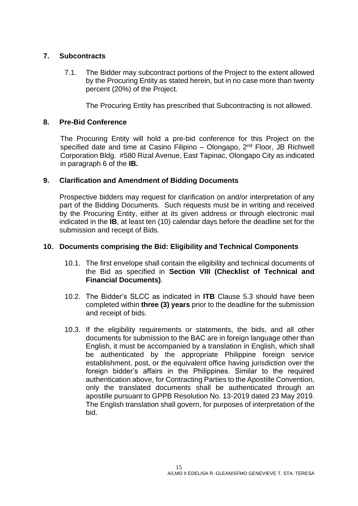#### <span id="page-14-0"></span>**7. Subcontracts**

7.1. The Bidder may subcontract portions of the Project to the extent allowed by the Procuring Entity as stated herein, but in no case more than twenty percent (20%) of the Project.

The Procuring Entity has prescribed that Subcontracting is not allowed.

#### <span id="page-14-1"></span>**8. Pre-Bid Conference**

The Procuring Entity will hold a pre-bid conference for this Project on the specified date and time at Casino Filipino – Olongapo, 2<sup>nd</sup> Floor, JB Richwell Corporation Bldg. #580 Rizal Avenue, East Tapinac, Olongapo City as indicated in paragraph 6 of the **IB.**

#### <span id="page-14-2"></span>**9. Clarification and Amendment of Bidding Documents**

Prospective bidders may request for clarification on and/or interpretation of any part of the Bidding Documents. Such requests must be in writing and received by the Procuring Entity, either at its given address or through electronic mail indicated in the **IB**, at least ten (10) calendar days before the deadline set for the submission and receipt of Bids.

#### <span id="page-14-3"></span>**10. Documents comprising the Bid: Eligibility and Technical Components**

- 10.1. The first envelope shall contain the eligibility and technical documents of the Bid as specified in **Section VIII (Checklist of Technical and Financial Documents)**.
- 10.2. The Bidder's SLCC as indicated in **ITB** Clause 5.3 should have been completed within **three (3) years** prior to the deadline for the submission and receipt of bids.
- 10.3. If the eligibility requirements or statements, the bids, and all other documents for submission to the BAC are in foreign language other than English, it must be accompanied by a translation in English, which shall be authenticated by the appropriate Philippine foreign service establishment, post, or the equivalent office having jurisdiction over the foreign bidder's affairs in the Philippines. Similar to the required authentication above, for Contracting Parties to the Apostille Convention, only the translated documents shall be authenticated through an apostille pursuant to GPPB Resolution No. 13-2019 dated 23 May 2019. The English translation shall govern, for purposes of interpretation of the bid.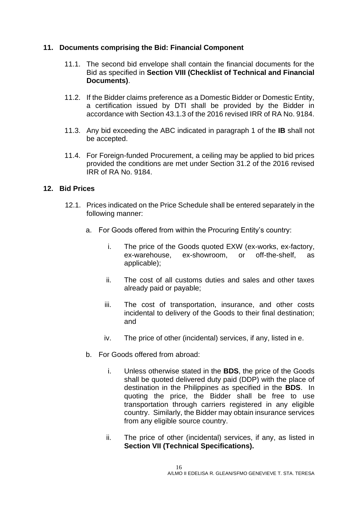#### <span id="page-15-0"></span>**11. Documents comprising the Bid: Financial Component**

- 11.1. The second bid envelope shall contain the financial documents for the Bid as specified in **Section VIII (Checklist of Technical and Financial Documents)**.
- 11.2. If the Bidder claims preference as a Domestic Bidder or Domestic Entity, a certification issued by DTI shall be provided by the Bidder in accordance with Section 43.1.3 of the 2016 revised IRR of RA No. 9184.
- 11.3. Any bid exceeding the ABC indicated in paragraph 1 of the **IB** shall not be accepted.
- 11.4. For Foreign-funded Procurement, a ceiling may be applied to bid prices provided the conditions are met under Section 31.2 of the 2016 revised IRR of RA No. 9184.

#### <span id="page-15-1"></span>**12. Bid Prices**

- 12.1. Prices indicated on the Price Schedule shall be entered separately in the following manner:
	- a. For Goods offered from within the Procuring Entity's country:
		- i. The price of the Goods quoted EXW (ex-works, ex-factory, ex-warehouse, ex-showroom, or off-the-shelf, as applicable);
		- ii. The cost of all customs duties and sales and other taxes already paid or payable;
		- iii. The cost of transportation, insurance, and other costs incidental to delivery of the Goods to their final destination; and
		- iv. The price of other (incidental) services, if any, listed in e.
	- b. For Goods offered from abroad:
		- i. Unless otherwise stated in the **BDS**, the price of the Goods shall be quoted delivered duty paid (DDP) with the place of destination in the Philippines as specified in the **BDS**. In quoting the price, the Bidder shall be free to use transportation through carriers registered in any eligible country. Similarly, the Bidder may obtain insurance services from any eligible source country.
		- ii. The price of other (incidental) services, if any, as listed in **Section VII (Technical Specifications).**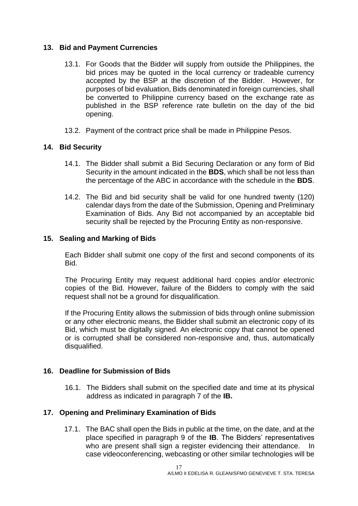#### <span id="page-16-0"></span>**13. Bid and Payment Currencies**

- 13.1. For Goods that the Bidder will supply from outside the Philippines, the bid prices may be quoted in the local currency or tradeable currency accepted by the BSP at the discretion of the Bidder. However, for purposes of bid evaluation, Bids denominated in foreign currencies, shall be converted to Philippine currency based on the exchange rate as published in the BSP reference rate bulletin on the day of the bid opening.
- 13.2. Payment of the contract price shall be made in Philippine Pesos.

#### <span id="page-16-1"></span>**14. Bid Security**

- 14.1. The Bidder shall submit a Bid Securing Declaration or any form of Bid Security in the amount indicated in the **BDS**, which shall be not less than the percentage of the ABC in accordance with the schedule in the **BDS**.
- 14.2. The Bid and bid security shall be valid for one hundred twenty (120) calendar days from the date of the Submission, Opening and Preliminary Examination of Bids. Any Bid not accompanied by an acceptable bid security shall be rejected by the Procuring Entity as non-responsive.

#### <span id="page-16-2"></span>**15. Sealing and Marking of Bids**

Each Bidder shall submit one copy of the first and second components of its Bid.

The Procuring Entity may request additional hard copies and/or electronic copies of the Bid. However, failure of the Bidders to comply with the said request shall not be a ground for disqualification.

If the Procuring Entity allows the submission of bids through online submission or any other electronic means, the Bidder shall submit an electronic copy of its Bid, which must be digitally signed. An electronic copy that cannot be opened or is corrupted shall be considered non-responsive and, thus, automatically disqualified.

#### <span id="page-16-3"></span>**16. Deadline for Submission of Bids**

16.1. The Bidders shall submit on the specified date and time at its physical address as indicated in paragraph 7 of the **IB.** 

#### <span id="page-16-4"></span>**17. Opening and Preliminary Examination of Bids**

17.1. The BAC shall open the Bids in public at the time, on the date, and at the place specified in paragraph 9 of the **IB**. The Bidders' representatives who are present shall sign a register evidencing their attendance. In case videoconferencing, webcasting or other similar technologies will be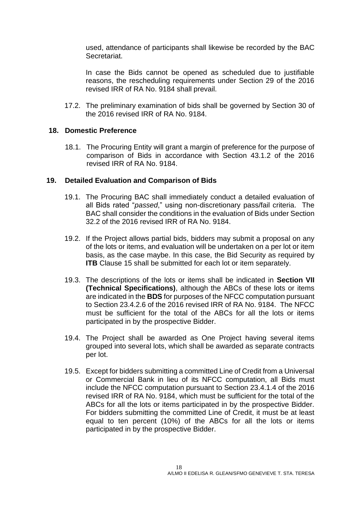used, attendance of participants shall likewise be recorded by the BAC Secretariat.

In case the Bids cannot be opened as scheduled due to justifiable reasons, the rescheduling requirements under Section 29 of the 2016 revised IRR of RA No. 9184 shall prevail.

17.2. The preliminary examination of bids shall be governed by Section 30 of the 2016 revised IRR of RA No. 9184.

#### <span id="page-17-0"></span>**18. Domestic Preference**

18.1. The Procuring Entity will grant a margin of preference for the purpose of comparison of Bids in accordance with Section 43.1.2 of the 2016 revised IRR of RA No. 9184.

#### <span id="page-17-1"></span>**19. Detailed Evaluation and Comparison of Bids**

- 19.1. The Procuring BAC shall immediately conduct a detailed evaluation of all Bids rated "*passed*," using non-discretionary pass/fail criteria. The BAC shall consider the conditions in the evaluation of Bids under Section 32.2 of the 2016 revised IRR of RA No. 9184.
- 19.2. If the Project allows partial bids, bidders may submit a proposal on any of the lots or items, and evaluation will be undertaken on a per lot or item basis, as the case maybe. In this case, the Bid Security as required by **ITB** Clause 15 shall be submitted for each lot or item separately.
- 19.3. The descriptions of the lots or items shall be indicated in **Section VII (Technical Specifications)**, although the ABCs of these lots or items are indicated in the **BDS** for purposes of the NFCC computation pursuant to Section 23.4.2.6 of the 2016 revised IRR of RA No. 9184. The NFCC must be sufficient for the total of the ABCs for all the lots or items participated in by the prospective Bidder.
- 19.4. The Project shall be awarded as One Project having several items grouped into several lots, which shall be awarded as separate contracts per lot.
- 19.5. Except for bidders submitting a committed Line of Credit from a Universal or Commercial Bank in lieu of its NFCC computation, all Bids must include the NFCC computation pursuant to Section 23.4.1.4 of the 2016 revised IRR of RA No. 9184, which must be sufficient for the total of the ABCs for all the lots or items participated in by the prospective Bidder. For bidders submitting the committed Line of Credit, it must be at least equal to ten percent (10%) of the ABCs for all the lots or items participated in by the prospective Bidder.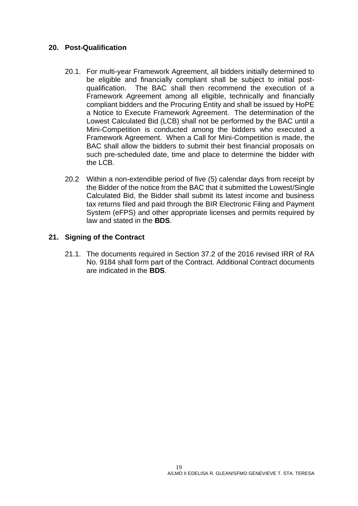#### <span id="page-18-0"></span>**20. Post-Qualification**

- 20.1. For multi-year Framework Agreement, all bidders initially determined to be eligible and financially compliant shall be subject to initial postqualification. The BAC shall then recommend the execution of a Framework Agreement among all eligible, technically and financially compliant bidders and the Procuring Entity and shall be issued by HoPE a Notice to Execute Framework Agreement. The determination of the Lowest Calculated Bid (LCB) shall not be performed by the BAC until a Mini-Competition is conducted among the bidders who executed a Framework Agreement. When a Call for Mini-Competition is made, the BAC shall allow the bidders to submit their best financial proposals on such pre-scheduled date, time and place to determine the bidder with the LCB.
- 20.2 Within a non-extendible period of five (5) calendar days from receipt by the Bidder of the notice from the BAC that it submitted the Lowest/Single Calculated Bid, the Bidder shall submit its latest income and business tax returns filed and paid through the BIR Electronic Filing and Payment System (eFPS) and other appropriate licenses and permits required by law and stated in the **BDS**.

#### <span id="page-18-1"></span>**21. Signing of the Contract**

21.1. The documents required in Section 37.2 of the 2016 revised IRR of RA No. 9184 shall form part of the Contract. Additional Contract documents are indicated in the **BDS**.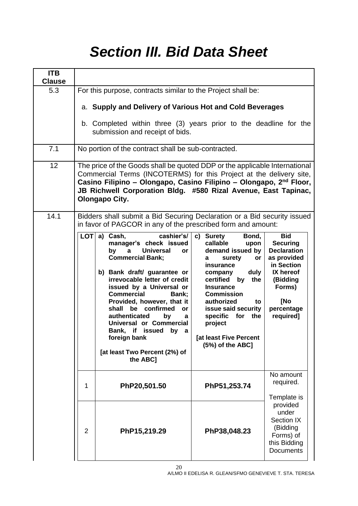# *Section III. Bid Data Sheet*

<span id="page-19-0"></span>

| <b>ITB</b><br><b>Clause</b> |                                                                                                                                                                                                                                                                                                                                                                                                                                                                                                                                                                                                                                                                                                                                                                   |                                                                                                                                                       |  |  |  |
|-----------------------------|-------------------------------------------------------------------------------------------------------------------------------------------------------------------------------------------------------------------------------------------------------------------------------------------------------------------------------------------------------------------------------------------------------------------------------------------------------------------------------------------------------------------------------------------------------------------------------------------------------------------------------------------------------------------------------------------------------------------------------------------------------------------|-------------------------------------------------------------------------------------------------------------------------------------------------------|--|--|--|
| 5.3                         | For this purpose, contracts similar to the Project shall be:                                                                                                                                                                                                                                                                                                                                                                                                                                                                                                                                                                                                                                                                                                      |                                                                                                                                                       |  |  |  |
|                             | a. Supply and Delivery of Various Hot and Cold Beverages                                                                                                                                                                                                                                                                                                                                                                                                                                                                                                                                                                                                                                                                                                          |                                                                                                                                                       |  |  |  |
|                             | b. Completed within three (3) years prior to the deadline for the<br>submission and receipt of bids.                                                                                                                                                                                                                                                                                                                                                                                                                                                                                                                                                                                                                                                              |                                                                                                                                                       |  |  |  |
| 7.1                         | No portion of the contract shall be sub-contracted.                                                                                                                                                                                                                                                                                                                                                                                                                                                                                                                                                                                                                                                                                                               |                                                                                                                                                       |  |  |  |
| 12                          | The price of the Goods shall be quoted DDP or the applicable International<br>Commercial Terms (INCOTERMS) for this Project at the delivery site,<br>Casino Filipino - Olongapo, Casino Filipino - Olongapo, 2 <sup>nd</sup> Floor,<br>JB Richwell Corporation Bldg. #580 Rizal Avenue, East Tapinac,<br><b>Olongapo City.</b>                                                                                                                                                                                                                                                                                                                                                                                                                                    |                                                                                                                                                       |  |  |  |
| 14.1                        | Bidders shall submit a Bid Securing Declaration or a Bid security issued<br>in favor of PAGCOR in any of the prescribed form and amount:                                                                                                                                                                                                                                                                                                                                                                                                                                                                                                                                                                                                                          |                                                                                                                                                       |  |  |  |
|                             | LOT<br>a) Cash,<br>cashier's/<br>Bond,<br>c) Surety<br>callable<br>manager's check issued<br>upon<br>demand issued by<br><b>Universal</b><br>by<br>a<br>or<br><b>Commercial Bank;</b><br>surety<br>or<br>a<br>insurance<br>b) Bank draft/ guarantee or<br>duly<br>company<br>irrevocable letter of credit<br>by the<br>certified<br>issued by a Universal or<br><b>Insurance</b><br><b>Commercial</b><br><b>Commission</b><br>Bank;<br>Provided, however, that it<br>authorized<br>to<br>shall be confirmed<br>issue said security<br>or<br>authenticated<br>specific for the<br>by<br>a<br>Universal or Commercial<br>project<br>Bank, if issued by a<br>foreign bank<br>[at least Five Percent<br>(5%) of the ABC]<br>[at least Two Percent (2%) of<br>the ABC] | <b>Bid</b><br><b>Securing</b><br><b>Declaration</b><br>as provided<br>in Section<br>IX hereof<br>(Bidding<br>Forms)<br>[No<br>percentage<br>required] |  |  |  |
|                             | PhP20,501.50<br>PhP51,253.74<br>1                                                                                                                                                                                                                                                                                                                                                                                                                                                                                                                                                                                                                                                                                                                                 | No amount<br>required.<br>Template is                                                                                                                 |  |  |  |
|                             | $\overline{2}$<br>PhP15,219.29<br>PhP38,048.23                                                                                                                                                                                                                                                                                                                                                                                                                                                                                                                                                                                                                                                                                                                    | provided<br>under<br>Section IX<br>(Bidding<br>Forms) of<br>this Bidding<br><b>Documents</b>                                                          |  |  |  |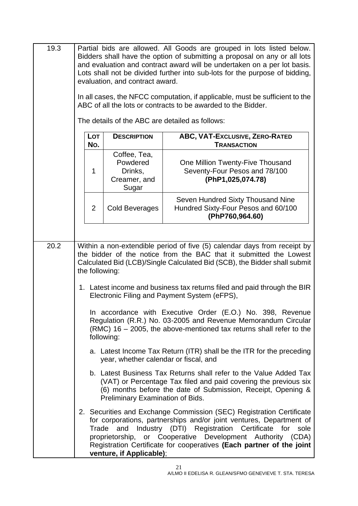| 19.3 | Partial bids are allowed. All Goods are grouped in lots listed below.<br>Bidders shall have the option of submitting a proposal on any or all lots<br>and evaluation and contract award will be undertaken on a per lot basis.<br>Lots shall not be divided further into sub-lots for the purpose of bidding,<br>evaluation, and contract award.<br>In all cases, the NFCC computation, if applicable, must be sufficient to the<br>ABC of all the lots or contracts to be awarded to the Bidder. |                                                              |                                                                                                                                                                                                                                                                                                                             |  |
|------|---------------------------------------------------------------------------------------------------------------------------------------------------------------------------------------------------------------------------------------------------------------------------------------------------------------------------------------------------------------------------------------------------------------------------------------------------------------------------------------------------|--------------------------------------------------------------|-----------------------------------------------------------------------------------------------------------------------------------------------------------------------------------------------------------------------------------------------------------------------------------------------------------------------------|--|
|      |                                                                                                                                                                                                                                                                                                                                                                                                                                                                                                   |                                                              | The details of the ABC are detailed as follows:                                                                                                                                                                                                                                                                             |  |
|      | Lot<br>No.                                                                                                                                                                                                                                                                                                                                                                                                                                                                                        | <b>DESCRIPTION</b>                                           | ABC, VAT-Exclusive, ZERO-RATED<br><b>TRANSACTION</b>                                                                                                                                                                                                                                                                        |  |
|      | 1                                                                                                                                                                                                                                                                                                                                                                                                                                                                                                 | Coffee, Tea,<br>Powdered<br>Drinks,<br>Creamer, and<br>Sugar | One Million Twenty-Five Thousand<br>Seventy-Four Pesos and 78/100<br>(PhP1,025,074.78)                                                                                                                                                                                                                                      |  |
|      | $\overline{2}$                                                                                                                                                                                                                                                                                                                                                                                                                                                                                    | Cold Beverages                                               | Seven Hundred Sixty Thousand Nine<br>Hundred Sixty-Four Pesos and 60/100<br>(PhP760,964.60)                                                                                                                                                                                                                                 |  |
|      |                                                                                                                                                                                                                                                                                                                                                                                                                                                                                                   |                                                              |                                                                                                                                                                                                                                                                                                                             |  |
| 20.2 | Within a non-extendible period of five (5) calendar days from receipt by<br>the bidder of the notice from the BAC that it submitted the Lowest<br>Calculated Bid (LCB)/Single Calculated Bid (SCB), the Bidder shall submit<br>the following:<br>1. Latest income and business tax returns filed and paid through the BIR<br>Electronic Filing and Payment System (eFPS),                                                                                                                         |                                                              |                                                                                                                                                                                                                                                                                                                             |  |
|      |                                                                                                                                                                                                                                                                                                                                                                                                                                                                                                   |                                                              |                                                                                                                                                                                                                                                                                                                             |  |
|      | In accordance with Executive Order (E.O.) No. 398, Revenue<br>Regulation (R.R.) No. 03-2005 and Revenue Memorandum Circular<br>(RMC) $16 - 2005$ , the above-mentioned tax returns shall refer to the<br>following:<br>a. Latest Income Tax Return (ITR) shall be the ITR for the preceding<br>year, whether calendar or fiscal, and                                                                                                                                                              |                                                              |                                                                                                                                                                                                                                                                                                                             |  |
|      |                                                                                                                                                                                                                                                                                                                                                                                                                                                                                                   |                                                              |                                                                                                                                                                                                                                                                                                                             |  |
|      |                                                                                                                                                                                                                                                                                                                                                                                                                                                                                                   | Preliminary Examination of Bids.                             | b. Latest Business Tax Returns shall refer to the Value Added Tax<br>(VAT) or Percentage Tax filed and paid covering the previous six<br>(6) months before the date of Submission, Receipt, Opening &                                                                                                                       |  |
|      |                                                                                                                                                                                                                                                                                                                                                                                                                                                                                                   | Trade<br>and<br>proprietorship,<br>venture, if Applicable);  | 2. Securities and Exchange Commission (SEC) Registration Certificate<br>for corporations, partnerships and/or joint ventures, Department of<br>Industry (DTI) Registration Certificate<br>for<br>sole<br>or Cooperative Development Authority (CDA)<br>Registration Certificate for cooperatives (Each partner of the joint |  |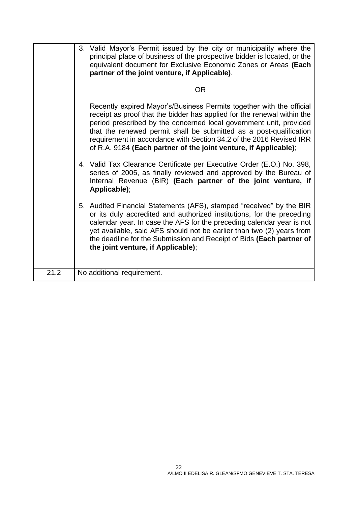|      | 3. Valid Mayor's Permit issued by the city or municipality where the<br>principal place of business of the prospective bidder is located, or the<br>equivalent document for Exclusive Economic Zones or Areas (Each<br>partner of the joint venture, if Applicable).                                                                                                                                                                   |
|------|----------------------------------------------------------------------------------------------------------------------------------------------------------------------------------------------------------------------------------------------------------------------------------------------------------------------------------------------------------------------------------------------------------------------------------------|
|      | <b>OR</b>                                                                                                                                                                                                                                                                                                                                                                                                                              |
|      | Recently expired Mayor's/Business Permits together with the official<br>receipt as proof that the bidder has applied for the renewal within the<br>period prescribed by the concerned local government unit, provided<br>that the renewed permit shall be submitted as a post-qualification<br>requirement in accordance with Section 34.2 of the 2016 Revised IRR<br>of R.A. 9184 (Each partner of the joint venture, if Applicable); |
|      | 4. Valid Tax Clearance Certificate per Executive Order (E.O.) No. 398,<br>series of 2005, as finally reviewed and approved by the Bureau of<br>Internal Revenue (BIR) (Each partner of the joint venture, if<br>Applicable);                                                                                                                                                                                                           |
|      | 5. Audited Financial Statements (AFS), stamped "received" by the BIR<br>or its duly accredited and authorized institutions, for the preceding<br>calendar year. In case the AFS for the preceding calendar year is not<br>yet available, said AFS should not be earlier than two (2) years from<br>the deadline for the Submission and Receipt of Bids (Each partner of<br>the joint venture, if Applicable);                          |
| 21.2 | No additional requirement.                                                                                                                                                                                                                                                                                                                                                                                                             |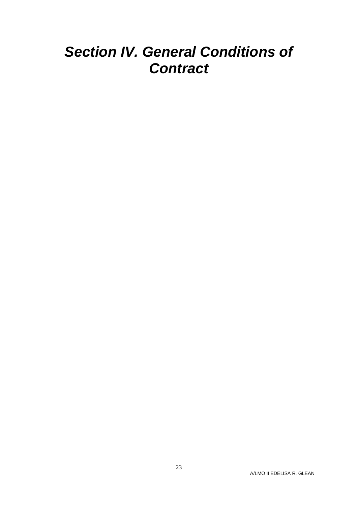# <span id="page-22-0"></span>*Section IV. General Conditions of Contract*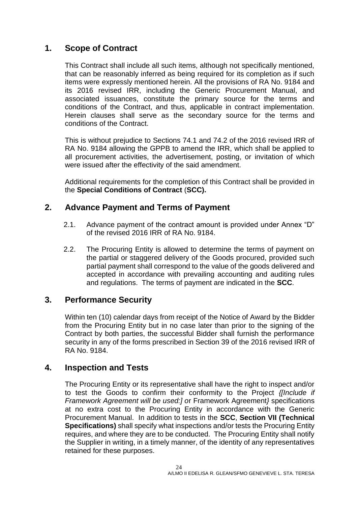### <span id="page-23-0"></span>**1. Scope of Contract**

This Contract shall include all such items, although not specifically mentioned, that can be reasonably inferred as being required for its completion as if such items were expressly mentioned herein. All the provisions of RA No. 9184 and its 2016 revised IRR, including the Generic Procurement Manual, and associated issuances, constitute the primary source for the terms and conditions of the Contract, and thus, applicable in contract implementation. Herein clauses shall serve as the secondary source for the terms and conditions of the Contract.

This is without prejudice to Sections 74.1 and 74.2 of the 2016 revised IRR of RA No. 9184 allowing the GPPB to amend the IRR, which shall be applied to all procurement activities, the advertisement, posting, or invitation of which were issued after the effectivity of the said amendment.

Additional requirements for the completion of this Contract shall be provided in the **Special Conditions of Contract** (**SCC).**

### <span id="page-23-1"></span>**2. Advance Payment and Terms of Payment**

- 2.1. Advance payment of the contract amount is provided under Annex "D" of the revised 2016 IRR of RA No. 9184.
- 2.2. The Procuring Entity is allowed to determine the terms of payment on the partial or staggered delivery of the Goods procured, provided such partial payment shall correspond to the value of the goods delivered and accepted in accordance with prevailing accounting and auditing rules and regulations. The terms of payment are indicated in the **SCC**.

### <span id="page-23-2"></span>**3. Performance Security**

Within ten (10) calendar days from receipt of the Notice of Award by the Bidder from the Procuring Entity but in no case later than prior to the signing of the Contract by both parties, the successful Bidder shall furnish the performance security in any of the forms prescribed in Section 39 of the 2016 revised IRR of RA No. 9184.

#### <span id="page-23-3"></span>**4. Inspection and Tests**

The Procuring Entity or its representative shall have the right to inspect and/or to test the Goods to confirm their conformity to the Project *{[Include if Framework Agreement will be used:] o*r Framework Agreement*}* specifications at no extra cost to the Procuring Entity in accordance with the Generic Procurement Manual. In addition to tests in the **SCC**, **Section VII (Technical Specifications)** shall specify what inspections and/or tests the Procuring Entity requires, and where they are to be conducted. The Procuring Entity shall notify the Supplier in writing, in a timely manner, of the identity of any representatives retained for these purposes.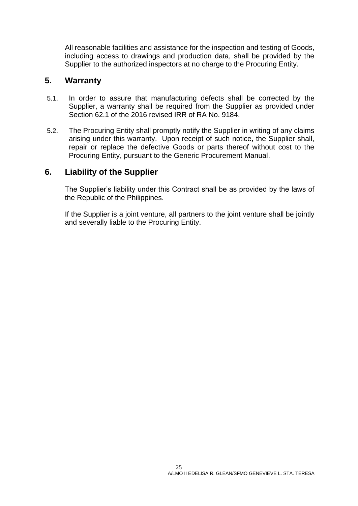All reasonable facilities and assistance for the inspection and testing of Goods, including access to drawings and production data, shall be provided by the Supplier to the authorized inspectors at no charge to the Procuring Entity.

#### <span id="page-24-0"></span>**5. Warranty**

- 5.1. In order to assure that manufacturing defects shall be corrected by the Supplier, a warranty shall be required from the Supplier as provided under Section 62.1 of the 2016 revised IRR of RA No. 9184.
- 5.2. The Procuring Entity shall promptly notify the Supplier in writing of any claims arising under this warranty. Upon receipt of such notice, the Supplier shall, repair or replace the defective Goods or parts thereof without cost to the Procuring Entity, pursuant to the Generic Procurement Manual.

### <span id="page-24-1"></span>**6. Liability of the Supplier**

The Supplier's liability under this Contract shall be as provided by the laws of the Republic of the Philippines.

If the Supplier is a joint venture, all partners to the joint venture shall be jointly and severally liable to the Procuring Entity.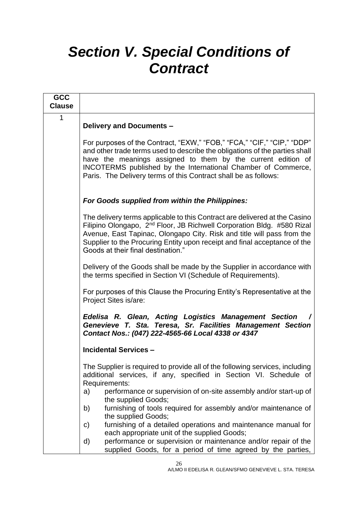# <span id="page-25-0"></span>*Section V. Special Conditions of Contract*

| <b>GCC</b><br><b>Clause</b> |                                                                                                                                                                                                                                                                                                                                                               |
|-----------------------------|---------------------------------------------------------------------------------------------------------------------------------------------------------------------------------------------------------------------------------------------------------------------------------------------------------------------------------------------------------------|
| 1                           | <b>Delivery and Documents -</b>                                                                                                                                                                                                                                                                                                                               |
|                             | For purposes of the Contract, "EXW," "FOB," "FCA," "CIF," "CIP," "DDP"<br>and other trade terms used to describe the obligations of the parties shall<br>have the meanings assigned to them by the current edition of<br>INCOTERMS published by the International Chamber of Commerce,<br>Paris. The Delivery terms of this Contract shall be as follows:     |
|                             | For Goods supplied from within the Philippines:                                                                                                                                                                                                                                                                                                               |
|                             | The delivery terms applicable to this Contract are delivered at the Casino<br>Filipino Olongapo, 2 <sup>nd</sup> Floor, JB Richwell Corporation Bldg. #580 Rizal<br>Avenue, East Tapinac, Olongapo City. Risk and title will pass from the<br>Supplier to the Procuring Entity upon receipt and final acceptance of the<br>Goods at their final destination." |
|                             | Delivery of the Goods shall be made by the Supplier in accordance with<br>the terms specified in Section VI (Schedule of Requirements).                                                                                                                                                                                                                       |
|                             | For purposes of this Clause the Procuring Entity's Representative at the<br>Project Sites is/are:                                                                                                                                                                                                                                                             |
|                             | Edelisa R. Glean, Acting Logistics Management Section<br>Genevieve T. Sta. Teresa, Sr. Facilities Management Section<br>Contact Nos.: (047) 222-4565-66 Local 4338 or 4347                                                                                                                                                                                    |
|                             | <b>Incidental Services -</b>                                                                                                                                                                                                                                                                                                                                  |
|                             | The Supplier is required to provide all of the following services, including<br>additional services, if any, specified in Section VI. Schedule of<br>Requirements:                                                                                                                                                                                            |
|                             | performance or supervision of on-site assembly and/or start-up of<br>a)<br>the supplied Goods;                                                                                                                                                                                                                                                                |
|                             | furnishing of tools required for assembly and/or maintenance of<br>b)<br>the supplied Goods;                                                                                                                                                                                                                                                                  |
|                             | furnishing of a detailed operations and maintenance manual for<br>C)<br>each appropriate unit of the supplied Goods;                                                                                                                                                                                                                                          |
|                             | performance or supervision or maintenance and/or repair of the<br>d)<br>supplied Goods, for a period of time agreed by the parties,                                                                                                                                                                                                                           |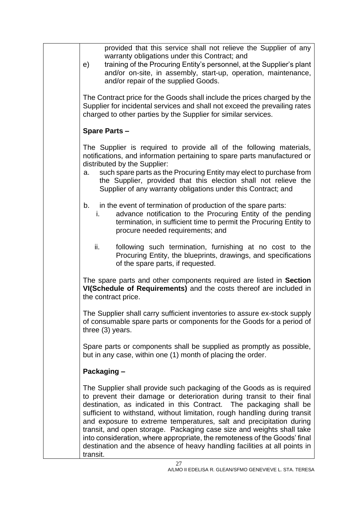| provided that this service shall not relieve the Supplier of any<br>warranty obligations under this Contract; and<br>training of the Procuring Entity's personnel, at the Supplier's plant<br>e)<br>and/or on-site, in assembly, start-up, operation, maintenance,<br>and/or repair of the supplied Goods.                                                                                                                                                                                                                                                                                                                |
|---------------------------------------------------------------------------------------------------------------------------------------------------------------------------------------------------------------------------------------------------------------------------------------------------------------------------------------------------------------------------------------------------------------------------------------------------------------------------------------------------------------------------------------------------------------------------------------------------------------------------|
| The Contract price for the Goods shall include the prices charged by the<br>Supplier for incidental services and shall not exceed the prevailing rates<br>charged to other parties by the Supplier for similar services.                                                                                                                                                                                                                                                                                                                                                                                                  |
| <b>Spare Parts -</b>                                                                                                                                                                                                                                                                                                                                                                                                                                                                                                                                                                                                      |
| The Supplier is required to provide all of the following materials,<br>notifications, and information pertaining to spare parts manufactured or<br>distributed by the Supplier:<br>such spare parts as the Procuring Entity may elect to purchase from<br>a.<br>the Supplier, provided that this election shall not relieve the<br>Supplier of any warranty obligations under this Contract; and                                                                                                                                                                                                                          |
| in the event of termination of production of the spare parts:<br>b.<br>advance notification to the Procuring Entity of the pending<br>i.<br>termination, in sufficient time to permit the Procuring Entity to<br>procure needed requirements; and                                                                                                                                                                                                                                                                                                                                                                         |
| ii.<br>following such termination, furnishing at no cost to the<br>Procuring Entity, the blueprints, drawings, and specifications<br>of the spare parts, if requested.                                                                                                                                                                                                                                                                                                                                                                                                                                                    |
| The spare parts and other components required are listed in Section<br>VI(Schedule of Requirements) and the costs thereof are included in<br>the contract price.                                                                                                                                                                                                                                                                                                                                                                                                                                                          |
| The Supplier shall carry sufficient inventories to assure ex-stock supply<br>of consumable spare parts or components for the Goods for a period of<br>three $(3)$ years.                                                                                                                                                                                                                                                                                                                                                                                                                                                  |
| Spare parts or components shall be supplied as promptly as possible,<br>but in any case, within one (1) month of placing the order.                                                                                                                                                                                                                                                                                                                                                                                                                                                                                       |
| Packaging -                                                                                                                                                                                                                                                                                                                                                                                                                                                                                                                                                                                                               |
| The Supplier shall provide such packaging of the Goods as is required<br>to prevent their damage or deterioration during transit to their final<br>destination, as indicated in this Contract. The packaging shall be<br>sufficient to withstand, without limitation, rough handling during transit<br>and exposure to extreme temperatures, salt and precipitation during<br>transit, and open storage. Packaging case size and weights shall take<br>into consideration, where appropriate, the remoteness of the Goods' final<br>destination and the absence of heavy handling facilities at all points in<br>transit. |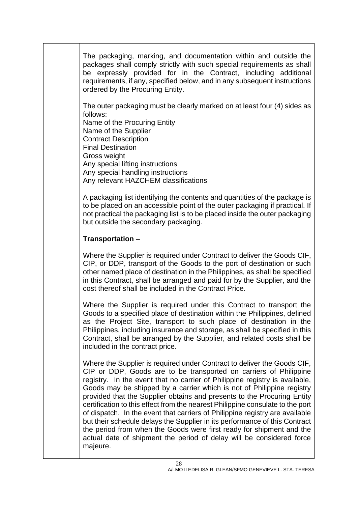The packaging, marking, and documentation within and outside the packages shall comply strictly with such special requirements as shall be expressly provided for in the Contract, including additional requirements, if any, specified below, and in any subsequent instructions ordered by the Procuring Entity.

The outer packaging must be clearly marked on at least four (4) sides as follows:

Name of the Procuring Entity Name of the Supplier Contract Description Final Destination Gross weight Any special lifting instructions Any special handling instructions Any relevant HAZCHEM classifications

A packaging list identifying the contents and quantities of the package is to be placed on an accessible point of the outer packaging if practical. If not practical the packaging list is to be placed inside the outer packaging but outside the secondary packaging.

### **Transportation –**

Where the Supplier is required under Contract to deliver the Goods CIF, CIP, or DDP, transport of the Goods to the port of destination or such other named place of destination in the Philippines, as shall be specified in this Contract, shall be arranged and paid for by the Supplier, and the cost thereof shall be included in the Contract Price.

Where the Supplier is required under this Contract to transport the Goods to a specified place of destination within the Philippines, defined as the Project Site, transport to such place of destination in the Philippines, including insurance and storage, as shall be specified in this Contract, shall be arranged by the Supplier, and related costs shall be included in the contract price.

Where the Supplier is required under Contract to deliver the Goods CIF, CIP or DDP, Goods are to be transported on carriers of Philippine registry. In the event that no carrier of Philippine registry is available, Goods may be shipped by a carrier which is not of Philippine registry provided that the Supplier obtains and presents to the Procuring Entity certification to this effect from the nearest Philippine consulate to the port of dispatch. In the event that carriers of Philippine registry are available but their schedule delays the Supplier in its performance of this Contract the period from when the Goods were first ready for shipment and the actual date of shipment the period of delay will be considered force majeure.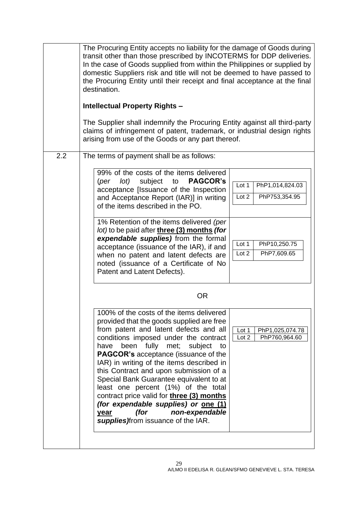| 2.2 | The Procuring Entity accepts no liability for the damage of Goods during<br>transit other than those prescribed by INCOTERMS for DDP deliveries.<br>In the case of Goods supplied from within the Philippines or supplied by<br>domestic Suppliers risk and title will not be deemed to have passed to<br>the Procuring Entity until their receipt and final acceptance at the final<br>destination.<br><b>Intellectual Property Rights -</b><br>The Supplier shall indemnify the Procuring Entity against all third-party<br>claims of infringement of patent, trademark, or industrial design rights<br>arising from use of the Goods or any part thereof.<br>The terms of payment shall be as follows: |  |  |  |  |
|-----|-----------------------------------------------------------------------------------------------------------------------------------------------------------------------------------------------------------------------------------------------------------------------------------------------------------------------------------------------------------------------------------------------------------------------------------------------------------------------------------------------------------------------------------------------------------------------------------------------------------------------------------------------------------------------------------------------------------|--|--|--|--|
|     | 99% of the costs of the items delivered<br>(per lot)<br>subject to<br><b>PAGCOR's</b><br>Lot 1<br>PhP1,014,824.03<br>acceptance [Issuance of the Inspection<br>Lot 2<br>PhP753,354.95<br>and Acceptance Report (IAR)] in writing<br>of the items described in the PO.<br>1% Retention of the items delivered (per<br>lot) to be paid after three (3) months (for<br>expendable supplies) from the formal<br>Lot 1<br>PhP10,250.75<br>acceptance (issuance of the IAR), if and<br>PhP7,609.65<br>Lot 2<br>when no patent and latent defects are<br>noted (issuance of a Certificate of No<br>Patent and Latent Defects).                                                                                   |  |  |  |  |
|     | <b>OR</b><br>100% of the costs of the items delivered<br>provided that the goods supplied are free<br>from patent and latent defects and all<br>PhP1,025,074.78<br>Lot 1<br>conditions imposed under the contract<br>Lot 2<br>PhP760,964.60<br>been fully<br>met;<br>subject<br>have<br>to<br><b>PAGCOR's</b> acceptance (issuance of the<br>IAR) in writing of the items described in<br>this Contract and upon submission of a<br>Special Bank Guarantee equivalent to at<br>least one percent (1%) of the total<br>contract price valid for three (3) months<br>(for expendable supplies) or one (1)<br>(for<br>non-expendable<br>year<br>supplies) from issuance of the IAR.                          |  |  |  |  |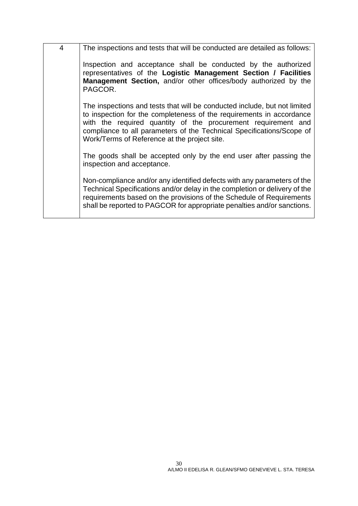| $\overline{4}$ | The inspections and tests that will be conducted are detailed as follows:                                                                                                                                                                                                                                                                   |
|----------------|---------------------------------------------------------------------------------------------------------------------------------------------------------------------------------------------------------------------------------------------------------------------------------------------------------------------------------------------|
|                | Inspection and acceptance shall be conducted by the authorized<br>representatives of the Logistic Management Section / Facilities<br>Management Section, and/or other offices/body authorized by the<br>PAGCOR.                                                                                                                             |
|                | The inspections and tests that will be conducted include, but not limited<br>to inspection for the completeness of the requirements in accordance<br>with the required quantity of the procurement requirement and<br>compliance to all parameters of the Technical Specifications/Scope of<br>Work/Terms of Reference at the project site. |
|                | The goods shall be accepted only by the end user after passing the<br>inspection and acceptance.                                                                                                                                                                                                                                            |
|                | Non-compliance and/or any identified defects with any parameters of the<br>Technical Specifications and/or delay in the completion or delivery of the<br>requirements based on the provisions of the Schedule of Requirements<br>shall be reported to PAGCOR for appropriate penalties and/or sanctions.                                    |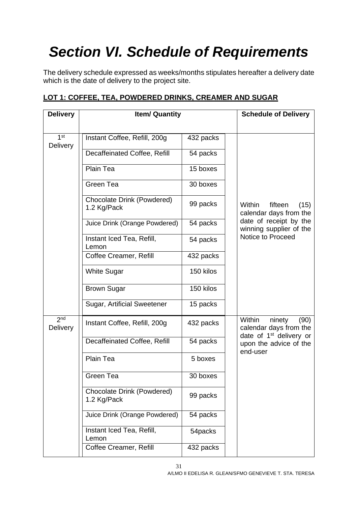# <span id="page-30-0"></span>*Section VI. Schedule of Requirements*

The delivery schedule expressed as weeks/months stipulates hereafter a delivery date which is the date of delivery to the project site.

| <b>Delivery</b>                    | <b>Item/ Quantity</b>                            |           | <b>Schedule of Delivery</b>                                   |
|------------------------------------|--------------------------------------------------|-----------|---------------------------------------------------------------|
| 1 <sup>st</sup><br><b>Delivery</b> | Instant Coffee, Refill, 200g                     | 432 packs |                                                               |
|                                    | Decaffeinated Coffee, Refill                     | 54 packs  |                                                               |
|                                    | Plain Tea                                        | 15 boxes  |                                                               |
|                                    | Green Tea                                        | 30 boxes  |                                                               |
|                                    | Chocolate Drink (Powdered)<br>1.2 Kg/Pack        | 99 packs  | Within<br>fifteen<br>(15)<br>calendar days from the           |
|                                    | Juice Drink (Orange Powdered)                    | 54 packs  | date of receipt by the<br>winning supplier of the             |
|                                    | Instant Iced Tea, Refill,<br>Lemon               | 54 packs  | Notice to Proceed                                             |
|                                    | Coffee Creamer, Refill                           | 432 packs |                                                               |
|                                    | <b>White Sugar</b>                               | 150 kilos |                                                               |
|                                    | <b>Brown Sugar</b>                               | 150 kilos |                                                               |
|                                    | Sugar, Artificial Sweetener                      | 15 packs  |                                                               |
| 2 <sub>nd</sub><br><b>Delivery</b> | Instant Coffee, Refill, 200g                     | 432 packs | Within<br>ninety<br>(90)<br>calendar days from the            |
|                                    | Decaffeinated Coffee, Refill                     | 54 packs  | date of 1 <sup>st</sup> delivery or<br>upon the advice of the |
|                                    | <b>Plain Tea</b>                                 | 5 boxes   | end-user                                                      |
|                                    | Green Tea                                        | 30 boxes  |                                                               |
|                                    | <b>Chocolate Drink (Powdered)</b><br>1.2 Kg/Pack | 99 packs  |                                                               |
|                                    | Juice Drink (Orange Powdered)                    | 54 packs  |                                                               |
|                                    | Instant Iced Tea, Refill,<br>Lemon               | 54packs   |                                                               |
|                                    | Coffee Creamer, Refill                           | 432 packs |                                                               |

### **LOT 1: COFFEE, TEA, POWDERED DRINKS, CREAMER AND SUGAR**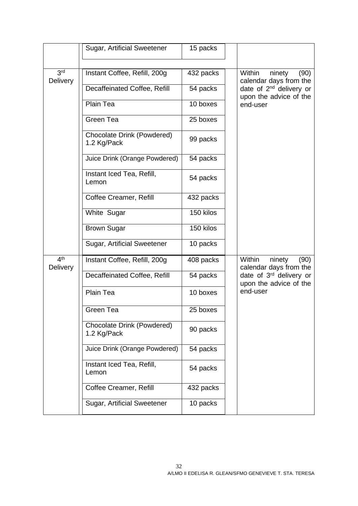|                                    | Sugar, Artificial Sweetener                      | 15 packs  |                                                               |
|------------------------------------|--------------------------------------------------|-----------|---------------------------------------------------------------|
|                                    |                                                  |           |                                                               |
| 3 <sup>rd</sup><br><b>Delivery</b> | Instant Coffee, Refill, 200g                     | 432 packs | Within<br>ninety<br>(90)<br>calendar days from the            |
|                                    | Decaffeinated Coffee, Refill                     | 54 packs  | date of 2 <sup>nd</sup> delivery or<br>upon the advice of the |
|                                    | Plain Tea                                        | 10 boxes  | end-user                                                      |
|                                    | Green Tea                                        | 25 boxes  |                                                               |
|                                    | <b>Chocolate Drink (Powdered)</b><br>1.2 Kg/Pack | 99 packs  |                                                               |
|                                    | Juice Drink (Orange Powdered)                    | 54 packs  |                                                               |
|                                    | Instant Iced Tea, Refill,<br>Lemon               | 54 packs  |                                                               |
|                                    | Coffee Creamer, Refill                           | 432 packs |                                                               |
|                                    | White Sugar                                      | 150 kilos |                                                               |
|                                    | <b>Brown Sugar</b>                               | 150 kilos |                                                               |
|                                    | Sugar, Artificial Sweetener                      | 10 packs  |                                                               |
| 4 <sup>th</sup><br><b>Delivery</b> | Instant Coffee, Refill, 200g                     | 408 packs | Within<br>ninety<br>(90)<br>calendar days from the            |
|                                    | Decaffeinated Coffee, Refill                     | 54 packs  | date of 3rd delivery or<br>upon the advice of the             |
|                                    | Plain Tea                                        | 10 boxes  | end-user                                                      |
|                                    | Green Tea                                        | 25 boxes  |                                                               |
|                                    | <b>Chocolate Drink (Powdered)</b><br>1.2 Kg/Pack | 90 packs  |                                                               |
|                                    | Juice Drink (Orange Powdered)                    | 54 packs  |                                                               |
|                                    | Instant Iced Tea, Refill,<br>Lemon               | 54 packs  |                                                               |
|                                    | Coffee Creamer, Refill                           | 432 packs |                                                               |
|                                    | Sugar, Artificial Sweetener                      | 10 packs  |                                                               |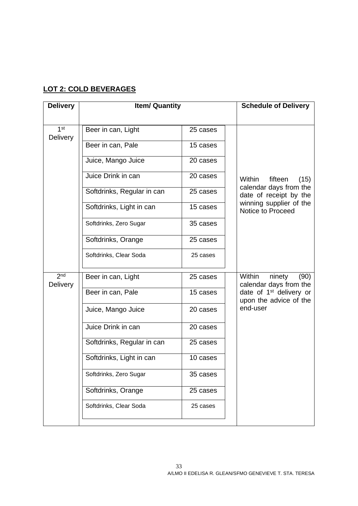### **LOT 2: COLD BEVERAGES**

| <b>Delivery</b>                    | <b>Item/ Quantity</b>      |          | <b>Schedule of Delivery</b>                                   |
|------------------------------------|----------------------------|----------|---------------------------------------------------------------|
| 1 <sup>st</sup>                    | Beer in can, Light         | 25 cases |                                                               |
| <b>Delivery</b>                    |                            |          |                                                               |
|                                    | Beer in can, Pale          | 15 cases |                                                               |
|                                    | Juice, Mango Juice         | 20 cases |                                                               |
|                                    | Juice Drink in can         | 20 cases | Within<br>fifteen<br>(15)                                     |
|                                    | Softdrinks, Regular in can | 25 cases | calendar days from the<br>date of receipt by the              |
|                                    | Softdrinks, Light in can   | 15 cases | winning supplier of the<br>Notice to Proceed                  |
|                                    | Softdrinks, Zero Sugar     | 35 cases |                                                               |
|                                    | Softdrinks, Orange         | 25 cases |                                                               |
|                                    | Softdrinks, Clear Soda     | 25 cases |                                                               |
|                                    |                            |          |                                                               |
| 2 <sub>nd</sub><br><b>Delivery</b> | Beer in can, Light         | 25 cases | Within<br>ninety<br>(90)<br>calendar days from the            |
|                                    | Beer in can, Pale          | 15 cases | date of 1 <sup>st</sup> delivery or<br>upon the advice of the |
|                                    | Juice, Mango Juice         | 20 cases | end-user                                                      |
|                                    | Juice Drink in can         | 20 cases |                                                               |
|                                    | Softdrinks, Regular in can | 25 cases |                                                               |
|                                    | Softdrinks, Light in can   | 10 cases |                                                               |
|                                    | Softdrinks, Zero Sugar     | 35 cases |                                                               |
|                                    | Softdrinks, Orange         | 25 cases |                                                               |
|                                    | Softdrinks, Clear Soda     | 25 cases |                                                               |
|                                    |                            |          |                                                               |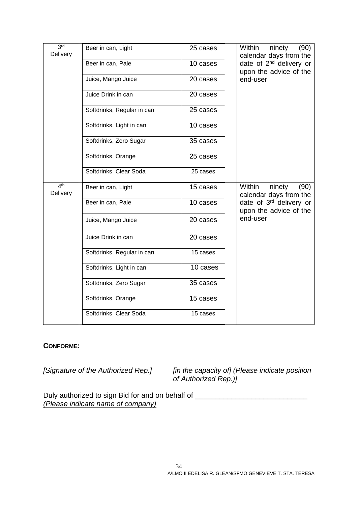| 3 <sup>rd</sup><br>Delivery | Beer in can, Light         | 25 cases | Within<br>ninety<br>(90)<br>calendar days from the            |
|-----------------------------|----------------------------|----------|---------------------------------------------------------------|
|                             | Beer in can, Pale          | 10 cases | date of 2 <sup>nd</sup> delivery or<br>upon the advice of the |
|                             | Juice, Mango Juice         | 20 cases | end-user                                                      |
|                             | Juice Drink in can         | 20 cases |                                                               |
|                             | Softdrinks, Regular in can | 25 cases |                                                               |
|                             | Softdrinks, Light in can   | 10 cases |                                                               |
|                             | Softdrinks, Zero Sugar     | 35 cases |                                                               |
|                             | Softdrinks, Orange         | 25 cases |                                                               |
|                             | Softdrinks, Clear Soda     | 25 cases |                                                               |
| 4 <sup>th</sup><br>Delivery | Beer in can, Light         | 15 cases | Within<br>(90)<br>ninety<br>calendar days from the            |
|                             | Beer in can, Pale          | 10 cases | date of 3rd delivery or<br>upon the advice of the             |
|                             | Juice, Mango Juice         | 20 cases | end-user                                                      |
|                             | Juice Drink in can         | 20 cases |                                                               |
|                             | Softdrinks, Regular in can | 15 cases |                                                               |
|                             | Softdrinks, Light in can   | 10 cases |                                                               |
|                             | Softdrinks, Zero Sugar     | 35 cases |                                                               |
|                             | Softdrinks, Orange         | 15 cases |                                                               |
|                             | Softdrinks, Clear Soda     | 15 cases |                                                               |

#### **CONFORME:**

*[Signature of the Authorized Rep.] [in the capacity of] (Please indicate position of Authorized Rep.)]*

Duly authorized to sign Bid for and on behalf of \_\_\_\_\_\_\_\_\_\_\_\_\_\_\_\_\_\_\_\_\_\_\_\_\_\_\_\_\_\_\_ *(Please indicate name of company)*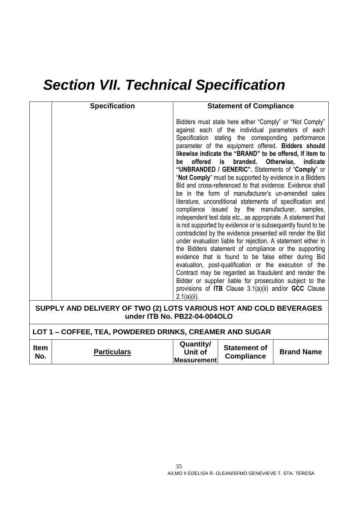# *Section VII. Technical Specification*

| <b>Specification</b> | <b>Statement of Compliance</b>                                                                                                                                                                                                                                                                                                                                                                                                                                                                                                                                                                                                                                                                                                                                                                                                                                                                                                                                                                                                                                                                                                                                                                                                                                                                                                                             |
|----------------------|------------------------------------------------------------------------------------------------------------------------------------------------------------------------------------------------------------------------------------------------------------------------------------------------------------------------------------------------------------------------------------------------------------------------------------------------------------------------------------------------------------------------------------------------------------------------------------------------------------------------------------------------------------------------------------------------------------------------------------------------------------------------------------------------------------------------------------------------------------------------------------------------------------------------------------------------------------------------------------------------------------------------------------------------------------------------------------------------------------------------------------------------------------------------------------------------------------------------------------------------------------------------------------------------------------------------------------------------------------|
|                      | Bidders must state here either "Comply" or "Not Comply"<br>against each of the individual parameters of each<br>Specification stating the corresponding performance<br>parameter of the equipment offered. Bidders should<br>likewise indicate the "BRAND" to be offered, if item to<br>branded.<br>Otherwise,<br>offered<br>is<br>indicate<br>be<br>"UNBRANDED / GENERIC". Statements of "Comply" or<br>"Not Comply" must be supported by evidence in a Bidders<br>Bid and cross-referenced to that evidence. Evidence shall<br>be in the form of manufacturer's un-amended sales<br>literature, unconditional statements of specification and<br>compliance issued by the manufacturer, samples,<br>independent test data etc., as appropriate. A statement that<br>is not supported by evidence or is subsequently found to be<br>contradicted by the evidence presented will render the Bid<br>under evaluation liable for rejection. A statement either in<br>the Bidders statement of compliance or the supporting<br>evidence that is found to be false either during Bid<br>evaluation, post-qualification or the execution of the<br>Contract may be regarded as fraudulent and render the<br>Bidder or supplier liable for prosecution subject to the<br>provisions of <b>ITB</b> Clause $3.1(a)(ii)$ and/or <b>GCC</b> Clause<br>$2.1(a)(ii)$ . |
|                      | SUPPLY AND DELIVERY OF TWO (2) LOTS VARIOUS HOT AND COLD BEVERAGES                                                                                                                                                                                                                                                                                                                                                                                                                                                                                                                                                                                                                                                                                                                                                                                                                                                                                                                                                                                                                                                                                                                                                                                                                                                                                         |

**under ITB No. PB22-04-004OLO**

## **LOT 1 – COFFEE, TEA, POWDERED DRINKS, CREAMER AND SUGAR**

| <b>Item</b><br><b>Particulars</b><br>No. | Quantity/<br>Jnit of<br><b>Measurement</b> | <b>Statement of</b><br><b>Compliance</b> | <b>Brand Name</b> |
|------------------------------------------|--------------------------------------------|------------------------------------------|-------------------|
|------------------------------------------|--------------------------------------------|------------------------------------------|-------------------|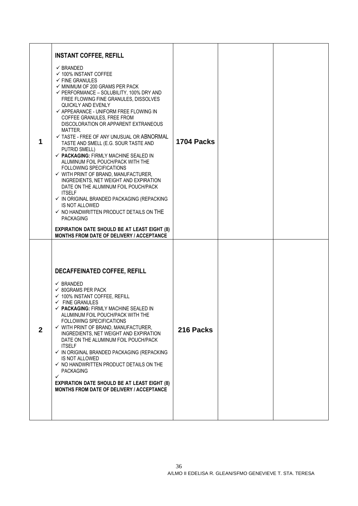| 1            | <b>INSTANT COFFEE, REFILL</b><br>$\checkmark$ BRANDED<br>$\checkmark$ 100% INSTANT COFFEE<br>$\checkmark$ FINE GRANULES<br>$\checkmark$ MINIMUM OF 200 GRAMS PER PACK<br>$\checkmark$ PERFORMANCE – SOLUBILITY, 100% DRY AND<br>FREE FLOWING FINE GRANULES, DISSOLVES<br>QUICKLY AND EVENLY<br>$\checkmark$ APPEARANCE - UNIFORM FREE FLOWING IN<br>COFFEE GRANULES, FREE FROM<br>DISCOLORATION OR APPARENT EXTRANEOUS<br>MATTER.<br>$\checkmark$ TASTE - FREE OF ANY UNUSUAL OR ABNORMAL<br>TASTE AND SMELL (E.G. SOUR TASTE AND<br>PUTRID SMELL)<br>$\checkmark$ PACKAGING: FIRMLY MACHINE SEALED IN<br>ALUMINUM FOIL POUCH/PACK WITH THE<br>FOLLOWING SPECIFICATIONS<br>$\checkmark$ WITH PRINT OF BRAND, MANUFACTURER,<br>INGREDIENTS, NET WEIGHT AND EXPIRATION<br>DATE ON THE ALUMINUM FOIL POUCH/PACK<br><b>ITSELF</b><br>√ IN ORIGINAL BRANDED PACKAGING (REPACKING<br>IS NOT ALLOWED<br>$\checkmark$ NO HANDWRITTEN PRODUCT DETAILS ON THE<br><b>PACKAGING</b><br><b>EXPIRATION DATE SHOULD BE AT LEAST EIGHT (8)</b><br><b>MONTHS FROM DATE OF DELIVERY / ACCEPTANCE</b> | 1704 Packs |  |
|--------------|------------------------------------------------------------------------------------------------------------------------------------------------------------------------------------------------------------------------------------------------------------------------------------------------------------------------------------------------------------------------------------------------------------------------------------------------------------------------------------------------------------------------------------------------------------------------------------------------------------------------------------------------------------------------------------------------------------------------------------------------------------------------------------------------------------------------------------------------------------------------------------------------------------------------------------------------------------------------------------------------------------------------------------------------------------------------------------|------------|--|
| $\mathbf{2}$ | <b>DECAFFEINATED COFFEE, REFILL</b><br>$\checkmark$ BRANDED<br>$\checkmark$ 80GRAMS PER PACK<br>$\checkmark$ 100% INSTANT COFFEE, REFILL<br>$\checkmark$ FINE GRANULES<br>$\checkmark$ PACKAGING: FIRMLY MACHINE SEALED IN<br>ALUMINUM FOIL POUCH/PACK WITH THE<br><b>FOLLOWING SPECIFICATIONS</b><br>$\checkmark$ WITH PRINT OF BRAND, MANUFACTURER,<br>INGREDIENTS, NET WEIGHT AND EXPIRATION<br>DATE ON THE ALUMINUM FOIL POUCH/PACK<br><b>ITSELF</b><br>$\checkmark$ IN ORIGINAL BRANDED PACKAGING (REPACKING<br>IS NOT ALLOWED<br>$\checkmark$ NO HANDWRITTEN PRODUCT DETAILS ON THE<br><b>PACKAGING</b><br>✓<br><b>EXPIRATION DATE SHOULD BE AT LEAST EIGHT (8)</b><br><b>MONTHS FROM DATE OF DELIVERY / ACCEPTANCE</b>                                                                                                                                                                                                                                                                                                                                                      | 216 Packs  |  |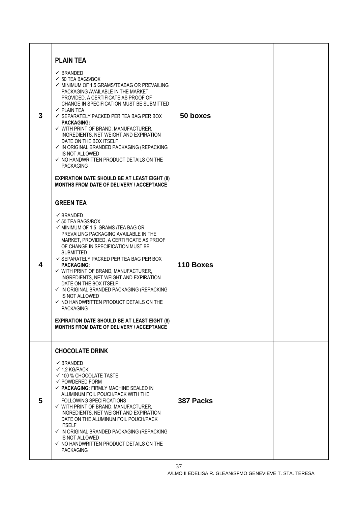| 3 | <b>PLAIN TEA</b><br>$\checkmark$ BRANDED<br>$\checkmark$ 50 TEA BAGS/BOX<br>$\checkmark$ MINIMUM OF 1.5 GRAMS/TEABAG OR PREVAILING<br>PACKAGING AVAILABLE IN THE MARKET,<br>PROVIDED, A CERTIFICATE AS PROOF OF<br>CHANGE IN SPECIFICATION MUST BE SUBMITTED<br>$\checkmark$ PLAIN TEA<br>$\checkmark$ SEPARATELY PACKED PER TEA BAG PER BOX<br><b>PACKAGING:</b><br>$\checkmark$ WITH PRINT OF BRAND, MANUFACTURER,<br>INGREDIENTS, NET WEIGHT AND EXPIRATION<br>DATE ON THE BOX ITSELF<br>$\checkmark$ IN ORIGINAL BRANDED PACKAGING (REPACKING<br>IS NOT ALLOWED<br>$\checkmark$ NO HANDWRITTEN PRODUCT DETAILS ON THE<br><b>PACKAGING</b><br><b>EXPIRATION DATE SHOULD BE AT LEAST EIGHT (8)</b><br><b>MONTHS FROM DATE OF DELIVERY / ACCEPTANCE</b> | 50 boxes  |  |
|---|----------------------------------------------------------------------------------------------------------------------------------------------------------------------------------------------------------------------------------------------------------------------------------------------------------------------------------------------------------------------------------------------------------------------------------------------------------------------------------------------------------------------------------------------------------------------------------------------------------------------------------------------------------------------------------------------------------------------------------------------------------|-----------|--|
| 4 | <b>GREEN TEA</b><br>$\checkmark$ BRANDED<br>$\checkmark$ 50 TEA BAGS/BOX<br>$\checkmark$ MINIMUM OF 1.5 GRAMS /TEA BAG OR<br>PREVAILING PACKAGING AVAILABLE IN THE<br>MARKET, PROVIDED, A CERTIFICATE AS PROOF<br>OF CHANGE IN SPECIFICATION MUST BE<br><b>SUBMITTED</b><br>$\checkmark$ SEPARATELY PACKED PER TEA BAG PER BOX<br><b>PACKAGING:</b><br>$\checkmark$ WITH PRINT OF BRAND, MANUFACTURER,<br>INGREDIENTS, NET WEIGHT AND EXPIRATION<br>DATE ON THE BOX ITSELF<br>$\checkmark$ IN ORIGINAL BRANDED PACKAGING (REPACKING<br>IS NOT ALLOWED<br>$\checkmark$ NO HANDWRITTEN PRODUCT DETAILS ON THE<br><b>PACKAGING</b><br><b>EXPIRATION DATE SHOULD BE AT LEAST EIGHT (8)</b><br><b>MONTHS FROM DATE OF DELIVERY / ACCEPTANCE</b>               | 110 Boxes |  |
| 5 | <b>CHOCOLATE DRINK</b><br>$\checkmark$ BRANDED<br>$\checkmark$ 1.2 KG/PACK<br>$\checkmark$ 100 % CHOCOLATE TASTE<br>$\checkmark$ POWDERED FORM<br>$\checkmark$ PACKAGING: FIRMLY MACHINE SEALED IN<br>ALUMINUM FOIL POUCH/PACK WITH THE<br>FOLLOWING SPECIFICATIONS<br>$\checkmark$ WITH PRINT OF BRAND, MANUFACTURER,<br>INGREDIENTS, NET WEIGHT AND EXPIRATION<br>DATE ON THE ALUMINUM FOIL POUCH/PACK<br><b>ITSELF</b><br>$\checkmark$ IN ORIGINAL BRANDED PACKAGING (REPACKING<br><b>IS NOT ALLOWED</b><br>$\checkmark$ NO HANDWRITTEN PRODUCT DETAILS ON THE<br><b>PACKAGING</b>                                                                                                                                                                    | 387 Packs |  |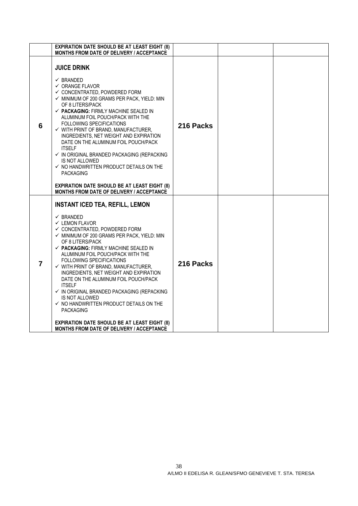|                | <b>EXPIRATION DATE SHOULD BE AT LEAST EIGHT (8)</b><br>MONTHS FROM DATE OF DELIVERY / ACCEPTANCE                                                                                                                                                                                                                                                                                                                                                                                                                                                                                                                                                                                                                                                                        |           |  |
|----------------|-------------------------------------------------------------------------------------------------------------------------------------------------------------------------------------------------------------------------------------------------------------------------------------------------------------------------------------------------------------------------------------------------------------------------------------------------------------------------------------------------------------------------------------------------------------------------------------------------------------------------------------------------------------------------------------------------------------------------------------------------------------------------|-----------|--|
| 6              | <b>JUICE DRINK</b><br>$\checkmark$ BRANDED<br>$\checkmark$ ORANGE FLAVOR<br>$\checkmark$ CONCENTRATED, POWDERED FORM<br>✓ MINIMUM OF 200 GRAMS PER PACK, YIELD: MIN<br>OF 8 LITERS/PACK<br>$\checkmark$ PACKAGING: FIRMLY MACHINE SEALED IN<br>ALUMINUM FOIL POUCH/PACK WITH THE<br><b>FOLLOWING SPECIFICATIONS</b><br>$\checkmark$ WITH PRINT OF BRAND, MANUFACTURER,<br>INGREDIENTS, NET WEIGHT AND EXPIRATION<br>DATE ON THE ALUMINUM FOIL POUCH/PACK<br><b>ITSELF</b><br>$\checkmark$ IN ORIGINAL BRANDED PACKAGING (REPACKING<br><b>IS NOT ALLOWED</b><br>$\checkmark$ NO HANDWRITTEN PRODUCT DETAILS ON THE<br><b>PACKAGING</b><br><b>EXPIRATION DATE SHOULD BE AT LEAST EIGHT (8)</b><br>MONTHS FROM DATE OF DELIVERY / ACCEPTANCE                               | 216 Packs |  |
| $\overline{7}$ | <b>INSTANT ICED TEA, REFILL, LEMON</b><br>$\checkmark$ BRANDED<br>$\checkmark$ LEMON FLAVOR<br>$\checkmark$ CONCENTRATED, POWDERED FORM<br>$\checkmark$ MINIMUM OF 200 GRAMS PER PACK, YIELD: MIN<br>OF 8 LITERS/PACK<br>$\checkmark$ PACKAGING: FIRMLY MACHINE SEALED IN<br>ALUMINUM FOIL POUCH/PACK WITH THE<br>FOLLOWING SPECIFICATIONS<br>$\checkmark$ WITH PRINT OF BRAND, MANUFACTURER,<br>INGREDIENTS, NET WEIGHT AND EXPIRATION<br>DATE ON THE ALUMINUM FOIL POUCH/PACK<br><b>ITSELF</b><br>$\checkmark$ IN ORIGINAL BRANDED PACKAGING (REPACKING<br><b>IS NOT ALLOWED</b><br>$\checkmark$ NO HANDWRITTEN PRODUCT DETAILS ON THE<br><b>PACKAGING</b><br><b>EXPIRATION DATE SHOULD BE AT LEAST EIGHT (8)</b><br><b>MONTHS FROM DATE OF DELIVERY / ACCEPTANCE</b> | 216 Packs |  |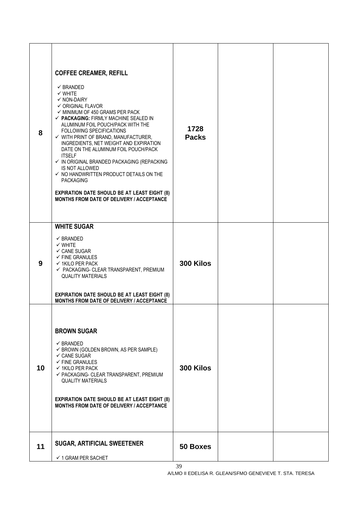| 8  | <b>COFFEE CREAMER, REFILL</b><br>$\checkmark$ BRANDED<br>$\checkmark$ WHITE<br>$\checkmark$ NON-DAIRY<br>$\checkmark$ ORIGINAL FLAVOR<br>$\checkmark$ MINIMUM OF 450 GRAMS PER PACK<br>$\checkmark$ PACKAGING: FIRMLY MACHINE SEALED IN<br>ALUMINUM FOIL POUCH/PACK WITH THE<br>FOLLOWING SPECIFICATIONS<br>$\checkmark$ WITH PRINT OF BRAND, MANUFACTURER,<br>INGREDIENTS, NET WEIGHT AND EXPIRATION<br>DATE ON THE ALUMINUM FOIL POUCH/PACK<br><b>ITSELF</b><br>$\checkmark$ IN ORIGINAL BRANDED PACKAGING (REPACKING<br>IS NOT ALLOWED<br>$\checkmark$ NO HANDWRITTEN PRODUCT DETAILS ON THE<br><b>PACKAGING</b><br><b>EXPIRATION DATE SHOULD BE AT LEAST EIGHT (8)</b><br>MONTHS FROM DATE OF DELIVERY / ACCEPTANCE | 1728<br><b>Packs</b>  |  |
|----|-------------------------------------------------------------------------------------------------------------------------------------------------------------------------------------------------------------------------------------------------------------------------------------------------------------------------------------------------------------------------------------------------------------------------------------------------------------------------------------------------------------------------------------------------------------------------------------------------------------------------------------------------------------------------------------------------------------------------|-----------------------|--|
| 9  | <b>WHITE SUGAR</b><br>$\checkmark$ BRANDED<br>$\checkmark$ WHITE<br>$\checkmark$ CANE SUGAR<br>$\checkmark$ FINE GRANULES<br>$\checkmark$ 1KILO PER PACK<br>$\checkmark$ PACKAGING- CLEAR TRANSPARENT, PREMIUM<br><b>QUALITY MATERIALS</b><br><b>EXPIRATION DATE SHOULD BE AT LEAST EIGHT (8)</b><br>MONTHS FROM DATE OF DELIVERY / ACCEPTANCE                                                                                                                                                                                                                                                                                                                                                                          | 300 Kilos             |  |
| 10 | <b>BROWN SUGAR</b><br>$\checkmark$ BRANDED<br>$\checkmark$ BROWN (GOLDEN BROWN, AS PER SAMPLE)<br>$\checkmark$ CANE SUGAR<br>$\checkmark$ FINE GRANULES<br>$\checkmark$ 1KILO PER PACK<br>✔ PACKAGING- CLEAR TRANSPARENT, PREMIUM<br><b>QUALITY MATERIALS</b><br><b>EXPIRATION DATE SHOULD BE AT LEAST EIGHT (8)</b><br><b>MONTHS FROM DATE OF DELIVERY / ACCEPTANCE</b>                                                                                                                                                                                                                                                                                                                                                | 300 Kilos             |  |
| 11 | <b>SUGAR, ARTIFICIAL SWEETENER</b><br>$\checkmark$ 1 GRAM PER SACHET                                                                                                                                                                                                                                                                                                                                                                                                                                                                                                                                                                                                                                                    | <b>50 Boxes</b><br>39 |  |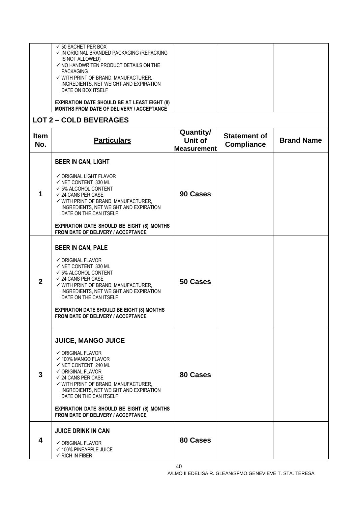| $\checkmark$ 50 SACHET PER BOX<br>✓ IN ORIGINAL BRANDED PACKAGING (REPACKING<br>IS NOT ALLOWED)<br>$\checkmark$ NO HANDWRITEN PRODUCT DETAILS ON THE<br>PACKAGING<br>$\checkmark$ WITH PRINT OF BRAND, MANUFACTURER,<br>INGREDIENTS, NET WEIGHT AND EXPIRATION |  |  |
|----------------------------------------------------------------------------------------------------------------------------------------------------------------------------------------------------------------------------------------------------------------|--|--|
| DATE ON BOX ITSELF<br><b>EXPIRATION DATE SHOULD BE AT LEAST EIGHT (8)</b><br><b>MONTHS FROM DATE OF DELIVERY / ACCEPTANCE</b>                                                                                                                                  |  |  |

## **LOT 2 – COLD BEVERAGES**

| <b>Item</b><br>No. | <b>Particulars</b>                                                                                                                                                                                                                                                                                                                                                                                                | Quantity/<br>Unit of<br><b>Measurement</b> | <b>Statement of</b><br><b>Compliance</b> | <b>Brand Name</b> |
|--------------------|-------------------------------------------------------------------------------------------------------------------------------------------------------------------------------------------------------------------------------------------------------------------------------------------------------------------------------------------------------------------------------------------------------------------|--------------------------------------------|------------------------------------------|-------------------|
| 1                  | <b>BEER IN CAN, LIGHT</b><br>$\checkmark$ ORIGINAL LIGHT FLAVOR<br>$\checkmark$ NET CONTENT 330 ML<br>$\checkmark$ 5% ALCOHOL CONTENT<br>$\checkmark$ 24 CANS PER CASE<br>$\checkmark$ WITH PRINT OF BRAND, MANUFACTURER,<br>INGREDIENTS, NET WEIGHT AND EXPIRATION<br>DATE ON THE CAN ITSELF<br><b>EXPIRATION DATE SHOULD BE EIGHT (8) MONTHS</b><br>FROM DATE OF DELIVERY / ACCEPTANCE                          | 90 Cases                                   |                                          |                   |
| $\mathbf{2}$       | <b>BEER IN CAN, PALE</b><br>✔ ORIGINAL FLAVOR<br>$\checkmark$ NET CONTENT 330 ML<br>$\checkmark$ 5% ALCOHOL CONTENT<br>$\checkmark$ 24 CANS PER CASE<br>$\checkmark$ WITH PRINT OF BRAND, MANUFACTURER,<br>INGREDIENTS, NET WEIGHT AND EXPIRATION<br>DATE ON THE CAN ITSELF<br><b>EXPIRATION DATE SHOULD BE EIGHT (8) MONTHS</b><br><b>FROM DATE OF DELIVERY / ACCEPTANCE</b>                                     | 50 Cases                                   |                                          |                   |
| 3                  | <b>JUICE, MANGO JUICE</b><br>$\checkmark$ ORIGINAL FLAVOR<br>$\checkmark$ 100% MANGO FLAVOR<br>$\checkmark$ NET CONTENT 240 ML<br>$\checkmark$ ORIGINAL FLAVOR<br>$\checkmark$ 24 CANS PER CASE<br>$\checkmark$ WITH PRINT OF BRAND, MANUFACTURER,<br>INGREDIENTS, NET WEIGHT AND EXPIRATION<br>DATE ON THE CAN ITSELF<br>EXPIRATION DATE SHOULD BE EIGHT (8) MONTHS<br><b>FROM DATE OF DELIVERY / ACCEPTANCE</b> | 80 Cases                                   |                                          |                   |
| 4                  | <b>JUICE DRINK IN CAN</b><br>$\checkmark$ ORIGINAL FLAVOR<br>$\checkmark$ 100% PINEAPPLE JUICE<br>$\checkmark$ RICH IN FIBER                                                                                                                                                                                                                                                                                      | 80 Cases                                   |                                          |                   |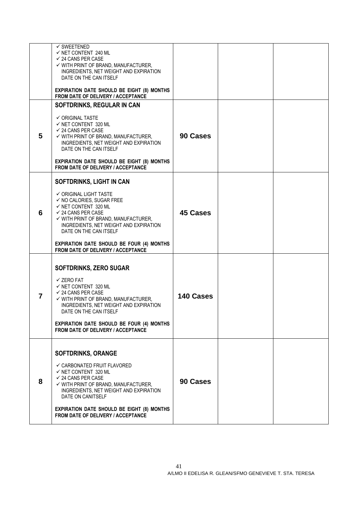|   | $\checkmark$ SWEETENED<br>$\checkmark$ NET CONTENT 240 ML                                 |           |  |
|---|-------------------------------------------------------------------------------------------|-----------|--|
|   | $\checkmark$ 24 CANS PER CASE                                                             |           |  |
|   | $\checkmark$ WITH PRINT OF BRAND, MANUFACTURER,<br>INGREDIENTS, NET WEIGHT AND EXPIRATION |           |  |
|   | DATE ON THE CAN ITSELF                                                                    |           |  |
|   | <b>EXPIRATION DATE SHOULD BE EIGHT (8) MONTHS</b><br>FROM DATE OF DELIVERY / ACCEPTANCE   |           |  |
|   | SOFTDRINKS, REGULAR IN CAN                                                                |           |  |
|   | $\checkmark$ ORIGINAL TASTE                                                               |           |  |
|   | $\checkmark$ NET CONTENT 320 ML<br>$\checkmark$ 24 CANS PER CASE                          |           |  |
| 5 | $\checkmark$ WITH PRINT OF BRAND, MANUFACTURER,                                           | 90 Cases  |  |
|   | INGREDIENTS, NET WEIGHT AND EXPIRATION<br>DATE ON THE CAN ITSELF                          |           |  |
|   |                                                                                           |           |  |
|   | <b>EXPIRATION DATE SHOULD BE EIGHT (8) MONTHS</b><br>FROM DATE OF DELIVERY / ACCEPTANCE   |           |  |
|   | SOFTDRINKS, LIGHT IN CAN                                                                  |           |  |
|   | $\checkmark$ ORIGINAL LIGHT TASTE                                                         |           |  |
|   | $\checkmark$ NO CALORIES, SUGAR FREE<br>$\checkmark$ NET CONTENT 320 ML                   |           |  |
| 6 | $\checkmark$ 24 CANS PER CASE<br>✓ WITH PRINT OF BRAND, MANUFACTURER,                     | 45 Cases  |  |
|   | INGREDIENTS, NET WEIGHT AND EXPIRATION                                                    |           |  |
|   | DATE ON THE CAN ITSELF                                                                    |           |  |
|   | <b>EXPIRATION DATE SHOULD BE FOUR (4) MONTHS</b><br>FROM DATE OF DELIVERY / ACCEPTANCE    |           |  |
|   |                                                                                           |           |  |
|   | SOFTDRINKS, ZERO SUGAR                                                                    |           |  |
|   | $\checkmark$ ZERO FAT                                                                     |           |  |
|   | $\checkmark$ NET CONTENT 320 ML<br>$\checkmark$ 24 CANS PER CASE                          |           |  |
| 7 | $\checkmark$ WITH PRINT OF BRAND, MANUFACTURER,                                           | 140 Cases |  |
|   | INGREDIENTS, NET WEIGHT AND EXPIRATION<br>DATE ON THE CAN ITSELF                          |           |  |
|   | EXPIRATION DATE SHOULD BE FOUR (4) MONTHS                                                 |           |  |
|   | FROM DATE OF DELIVERY / ACCEPTANCE                                                        |           |  |
|   |                                                                                           |           |  |
|   | <b>SOFTDRINKS, ORANGE</b>                                                                 |           |  |
|   | $\checkmark$ CARBONATED FRUIT FLAVORED                                                    |           |  |
|   | $\checkmark$ NET CONTENT 320 ML<br>$\checkmark$ 24 CANS PER CASE                          |           |  |
| 8 | $\checkmark$ WITH PRINT OF BRAND, MANUFACTURER,<br>INGREDIENTS, NET WEIGHT AND EXPIRATION | 90 Cases  |  |
|   | DATE ON CANITSELF                                                                         |           |  |
|   | EXPIRATION DATE SHOULD BE EIGHT (8) MONTHS                                                |           |  |
|   | FROM DATE OF DELIVERY / ACCEPTANCE                                                        |           |  |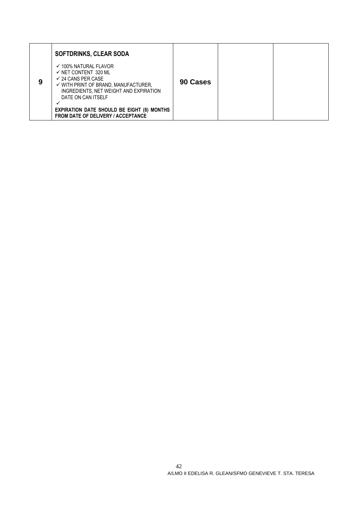|   | <b>SOFTDRINKS, CLEAR SODA</b>                                                                                                                                                                                                                                                                                             |          |  |
|---|---------------------------------------------------------------------------------------------------------------------------------------------------------------------------------------------------------------------------------------------------------------------------------------------------------------------------|----------|--|
| 9 | $\checkmark$ 100% NATURAL FLAVOR<br>$\checkmark$ NET CONTENT 320 ML<br>$\checkmark$ 24 CANS PER CASE<br>$\checkmark$ WITH PRINT OF BRAND, MANUFACTURER,<br>INGREDIENTS, NET WEIGHT AND EXPIRATION<br>DATE ON CAN ITSELF<br><b>EXPIRATION DATE SHOULD BE EIGHT (8) MONTHS</b><br><b>FROM DATE OF DELIVERY / ACCEPTANCE</b> | 90 Cases |  |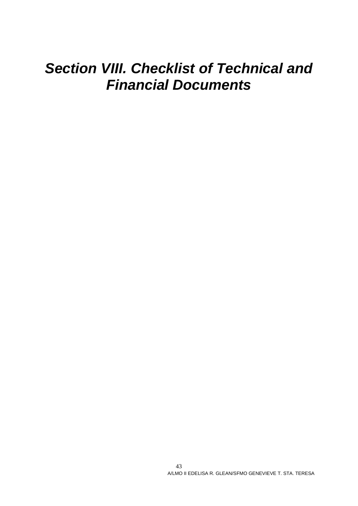# *Section VIII. Checklist of Technical and Financial Documents*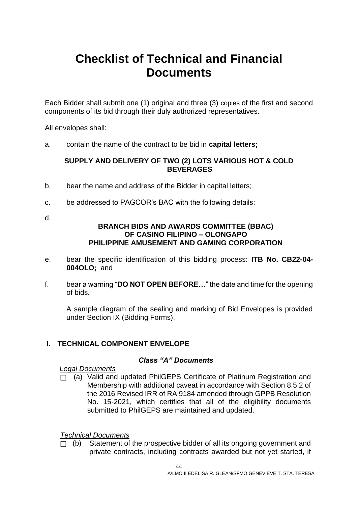# **Checklist of Technical and Financial Documents**

Each Bidder shall submit one (1) original and three (3) copies of the first and second components of its bid through their duly authorized representatives.

All envelopes shall:

a. contain the name of the contract to be bid in **capital letters;**

#### **SUPPLY AND DELIVERY OF TWO (2) LOTS VARIOUS HOT & COLD BEVERAGES**

- b. bear the name and address of the Bidder in capital letters;
- c. be addressed to PAGCOR's BAC with the following details:
- d.

#### **BRANCH BIDS AND AWARDS COMMITTEE (BBAC) OF CASINO FILIPINO – OLONGAPO PHILIPPINE AMUSEMENT AND GAMING CORPORATION**

- e. bear the specific identification of this bidding process: **ITB No. CB22-04- 004OLO;** and
- f. bear a warning "**DO NOT OPEN BEFORE…**" the date and time for the opening of bids.

A sample diagram of the sealing and marking of Bid Envelopes is provided under Section IX (Bidding Forms).

#### **I. TECHNICAL COMPONENT ENVELOPE**

#### *Class "A" Documents*

#### *Legal Documents*

□ (a) Valid and updated PhilGEPS Certificate of Platinum Registration and Membership with additional caveat in accordance with Section 8.5.2 of the 2016 Revised IRR of RA 9184 amended through GPPB Resolution No. 15-2021, which certifies that all of the eligibility documents submitted to PhilGEPS are maintained and updated.

#### *Technical Documents*

 $\Box$  (b) Statement of the prospective bidder of all its ongoing government and private contracts, including contracts awarded but not yet started, if

44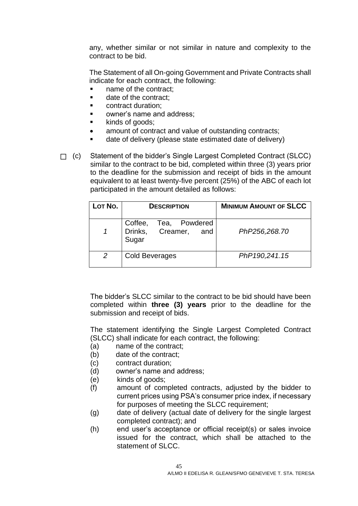any, whether similar or not similar in nature and complexity to the contract to be bid.

The Statement of all On-going Government and Private Contracts shall indicate for each contract, the following:

- name of the contract;
- date of the contract:
- contract duration:
- owner's name and address:
- kinds of goods;
- amount of contract and value of outstanding contracts:
- date of delivery (please state estimated date of delivery)

□ (c) Statement of the bidder's Single Largest Completed Contract (SLCC) similar to the contract to be bid, completed within three (3) years prior to the deadline for the submission and receipt of bids in the amount equivalent to at least twenty-five percent (25%) of the ABC of each lot participated in the amount detailed as follows:

| LOT NO. | <b>DESCRIPTION</b>                                     | <b>MINIMUM AMOUNT OF SLCC</b> |
|---------|--------------------------------------------------------|-------------------------------|
|         | Coffee, Tea, Powdered<br>Drinks, Creamer, and<br>Sugar | PhP256,268.70                 |
| 2       | Cold Beverages                                         | PhP190,241.15                 |

The bidder's SLCC similar to the contract to be bid should have been completed within **three (3) years** prior to the deadline for the submission and receipt of bids.

The statement identifying the Single Largest Completed Contract (SLCC) shall indicate for each contract, the following:

- (a) name of the contract;
- (b) date of the contract;
- (c) contract duration;
- (d) owner's name and address;
- (e) kinds of goods;
- (f) amount of completed contracts, adjusted by the bidder to current prices using PSA's consumer price index, if necessary for purposes of meeting the SLCC requirement;
- (g) date of delivery (actual date of delivery for the single largest completed contract); and
- (h) end user's acceptance or official receipt(s) or sales invoice issued for the contract, which shall be attached to the statement of SLCC.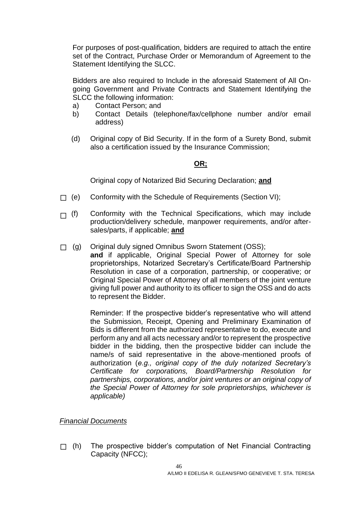For purposes of post-qualification, bidders are required to attach the entire set of the Contract, Purchase Order or Memorandum of Agreement to the Statement Identifying the SLCC.

Bidders are also required to Include in the aforesaid Statement of All Ongoing Government and Private Contracts and Statement Identifying the SLCC the following information:

- a) Contact Person; and
- b) Contact Details (telephone/fax/cellphone number and/or email address)
- (d) Original copy of Bid Security. If in the form of a Surety Bond, submit also a certification issued by the Insurance Commission;

#### **OR;**

Original copy of Notarized Bid Securing Declaration; **and**

- $\Box$  (e) Conformity with the Schedule of Requirements (Section VI);
- $\Box$  (f) Conformity with the Technical Specifications, which may include production/delivery schedule, manpower requirements, and/or aftersales/parts, if applicable; **and**
- □ (g) Original duly signed Omnibus Sworn Statement (OSS);

**and** if applicable, Original Special Power of Attorney for sole proprietorships, Notarized Secretary's Certificate/Board Partnership Resolution in case of a corporation, partnership, or cooperative; or Original Special Power of Attorney of all members of the joint venture giving full power and authority to its officer to sign the OSS and do acts to represent the Bidder.

Reminder: If the prospective bidder's representative who will attend the Submission, Receipt, Opening and Preliminary Examination of Bids is different from the authorized representative to do, execute and perform any and all acts necessary and/or to represent the prospective bidder in the bidding, then the prospective bidder can include the name/s of said representative in the above-mentioned proofs of authorization (*e.g., original copy of the duly notarized Secretary's Certificate for corporations, Board/Partnership Resolution for partnerships, corporations, and/or joint ventures or an original copy of the Special Power of Attorney for sole proprietorships, whichever is applicable)*

#### *Financial Documents*

 $\Box$  (h) The prospective bidder's computation of Net Financial Contracting Capacity (NFCC);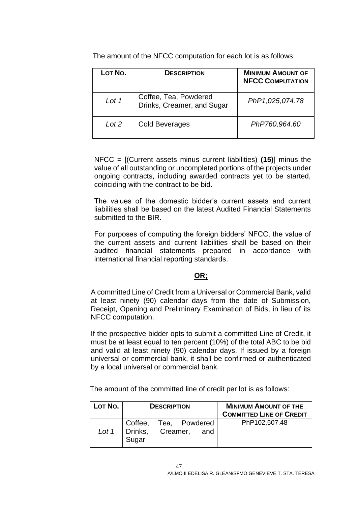The amount of the NFCC computation for each lot is as follows:

| LOT No. | <b>DESCRIPTION</b>                                  | <b>MINIMUM AMOUNT OF</b><br><b>NFCC COMPUTATION</b> |
|---------|-----------------------------------------------------|-----------------------------------------------------|
| Lot 1   | Coffee, Tea, Powdered<br>Drinks, Creamer, and Sugar | PhP1,025,074.78                                     |
| Lot 2   | <b>Cold Beverages</b>                               | PhP760,964.60                                       |

NFCC = [(Current assets minus current liabilities) **(15)**] minus the value of all outstanding or uncompleted portions of the projects under ongoing contracts, including awarded contracts yet to be started, coinciding with the contract to be bid.

The values of the domestic bidder's current assets and current liabilities shall be based on the latest Audited Financial Statements submitted to the BIR.

For purposes of computing the foreign bidders' NFCC, the value of the current assets and current liabilities shall be based on their audited financial statements prepared in accordance with international financial reporting standards.

#### **OR;**

A committed Line of Credit from a Universal or Commercial Bank, valid at least ninety (90) calendar days from the date of Submission, Receipt, Opening and Preliminary Examination of Bids, in lieu of its NFCC computation.

If the prospective bidder opts to submit a committed Line of Credit, it must be at least equal to ten percent (10%) of the total ABC to be bid and valid at least ninety (90) calendar days. If issued by a foreign universal or commercial bank, it shall be confirmed or authenticated by a local universal or commercial bank.

The amount of the committed line of credit per lot is as follows:

| $L$ <sub>O</sub> T No. | <b>DESCRIPTION</b>                                                 |  |  | <b>MINIMUM AMOUNT OF THE</b><br><b>COMMITTED LINE OF CREDIT</b> |
|------------------------|--------------------------------------------------------------------|--|--|-----------------------------------------------------------------|
| Lot 1                  | ⊩Coffee,<br>Coffee, Tea, Powdered<br>Drinks, Creamer, and<br>Sugar |  |  | PhP102,507.48                                                   |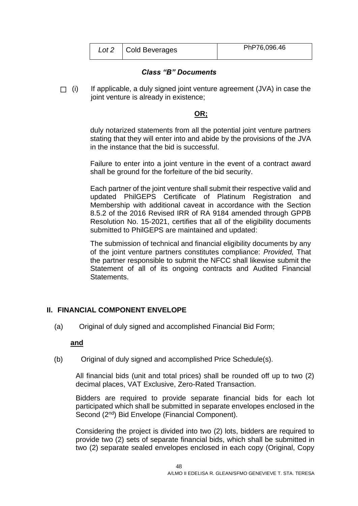| Lot 2 | Cold Beverages | PhP76,096.46 |
|-------|----------------|--------------|
|       |                |              |

#### *Class "B" Documents*

 $\Box$  (i) If applicable, a duly signed joint venture agreement (JVA) in case the joint venture is already in existence;

#### **OR;**

duly notarized statements from all the potential joint venture partners stating that they will enter into and abide by the provisions of the JVA in the instance that the bid is successful.

Failure to enter into a joint venture in the event of a contract award shall be ground for the forfeiture of the bid security.

Each partner of the joint venture shall submit their respective valid and updated PhilGEPS Certificate of Platinum Registration and Membership with additional caveat in accordance with the Section 8.5.2 of the 2016 Revised IRR of RA 9184 amended through GPPB Resolution No. 15-2021, certifies that all of the eligibility documents submitted to PhilGEPS are maintained and updated:

The submission of technical and financial eligibility documents by any of the joint venture partners constitutes compliance: *Provided,* That the partner responsible to submit the NFCC shall likewise submit the Statement of all of its ongoing contracts and Audited Financial Statements.

#### **II. FINANCIAL COMPONENT ENVELOPE**

(a) Original of duly signed and accomplished Financial Bid Form;

#### **and**

(b) Original of duly signed and accomplished Price Schedule(s).

All financial bids (unit and total prices) shall be rounded off up to two (2) decimal places, VAT Exclusive, Zero-Rated Transaction.

Bidders are required to provide separate financial bids for each lot participated which shall be submitted in separate envelopes enclosed in the Second (2<sup>nd</sup>) Bid Envelope (Financial Component).

Considering the project is divided into two (2) lots, bidders are required to provide two (2) sets of separate financial bids, which shall be submitted in two (2) separate sealed envelopes enclosed in each copy (Original, Copy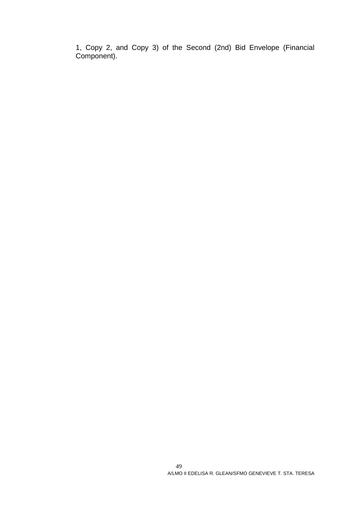1, Copy 2, and Copy 3) of the Second (2nd) Bid Envelope (Financial Component).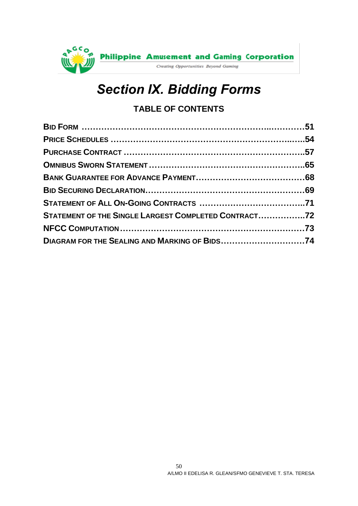

# *Section IX. Bidding Forms*

## **TABLE OF CONTENTS**

| STATEMENT OF THE SINGLE LARGEST COMPLETED CONTRACT72 |  |
|------------------------------------------------------|--|
|                                                      |  |
| DIAGRAM FOR THE SEALING AND MARKING OF BIDS74        |  |
|                                                      |  |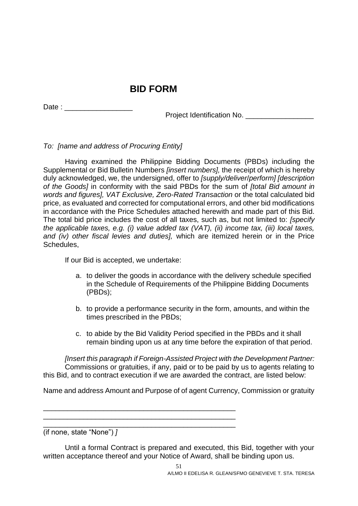## **BID FORM**

<span id="page-50-0"></span>Date :

Project Identification No. \_\_\_\_\_\_\_\_\_\_\_\_\_\_

*To: [name and address of Procuring Entity]*

Having examined the Philippine Bidding Documents (PBDs) including the Supplemental or Bid Bulletin Numbers *[insert numbers],* the receipt of which is hereby duly acknowledged, we, the undersigned, offer to *[supply/deliver*/*perform] [description of the Goods]* in conformity with the said PBDs for the sum of *[total Bid amount in words and figures], VAT Exclusive, Zero-Rated Transaction* or the total calculated bid price, as evaluated and corrected for computational errors, and other bid modifications in accordance with the Price Schedules attached herewith and made part of this Bid. The total bid price includes the cost of all taxes, such as, but not limited to: *[specify the applicable taxes, e.g. (i) value added tax (VAT), (ii) income tax, (iii) local taxes, and (iv) other fiscal levies and duties],* which are itemized herein or in the Price Schedules,

If our Bid is accepted, we undertake:

- a. to deliver the goods in accordance with the delivery schedule specified in the Schedule of Requirements of the Philippine Bidding Documents (PBDs);
- b. to provide a performance security in the form, amounts, and within the times prescribed in the PBDs;
- c. to abide by the Bid Validity Period specified in the PBDs and it shall remain binding upon us at any time before the expiration of that period.

*[Insert this paragraph if Foreign-Assisted Project with the Development Partner:* Commissions or gratuities, if any, paid or to be paid by us to agents relating to this Bid, and to contract execution if we are awarded the contract, are listed below:

Name and address Amount and Purpose of of agent Currency, Commission or gratuity

\_\_\_\_\_\_\_\_\_\_\_\_\_\_\_\_\_\_\_\_\_\_\_\_\_\_\_\_\_\_\_\_\_\_\_\_\_\_\_\_\_\_\_\_\_\_\_\_ \_\_\_\_\_\_\_\_\_\_\_\_\_\_\_\_\_\_\_\_\_\_\_\_\_\_\_\_\_\_\_\_\_\_\_\_\_\_\_\_\_\_\_\_\_\_\_\_ \_\_\_\_\_\_\_\_\_\_\_\_\_\_\_\_\_\_\_\_\_\_\_\_\_\_\_\_\_\_\_\_\_\_\_\_\_\_\_\_\_\_\_\_\_\_\_\_

(if none, state "None") *]*

Until a formal Contract is prepared and executed, this Bid, together with your written acceptance thereof and your Notice of Award, shall be binding upon us.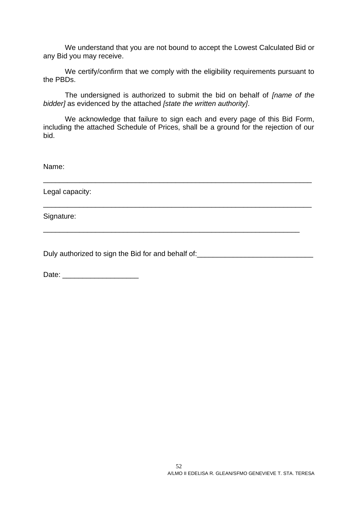We understand that you are not bound to accept the Lowest Calculated Bid or any Bid you may receive.

We certify/confirm that we comply with the eligibility requirements pursuant to the PBDs.

The undersigned is authorized to submit the bid on behalf of *[name of the bidder]* as evidenced by the attached *[state the written authority]*.

We acknowledge that failure to sign each and every page of this Bid Form, including the attached Schedule of Prices, shall be a ground for the rejection of our bid.

\_\_\_\_\_\_\_\_\_\_\_\_\_\_\_\_\_\_\_\_\_\_\_\_\_\_\_\_\_\_\_\_\_\_\_\_\_\_\_\_\_\_\_\_\_\_\_\_\_\_\_\_\_\_\_\_\_\_\_\_\_\_\_\_\_\_\_

\_\_\_\_\_\_\_\_\_\_\_\_\_\_\_\_\_\_\_\_\_\_\_\_\_\_\_\_\_\_\_\_\_\_\_\_\_\_\_\_\_\_\_\_\_\_\_\_\_\_\_\_\_\_\_\_\_\_\_\_\_\_\_\_

Name:

Legal capacity:

Signature:

Duly authorized to sign the Bid for and behalf of:

Date:  $\Box$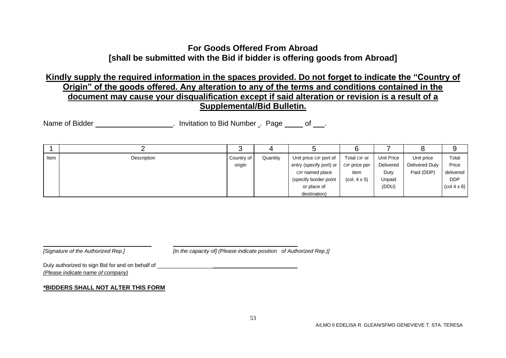### **For Goods Offered From Abroad [shall be submitted with the Bid if bidder is offering goods from Abroad]**

### **Kindly supply the required information in the spaces provided. Do not forget to indicate the "Country of Origin" of the goods offered. Any alteration to any of the terms and conditions contained in the document may cause your disqualification except if said alteration or revision is a result of a Supplemental/Bid Bulletin.**

Name of Bidder **Name of Bidder Name of Bidder** . Invitation to Bid Number . Page of .

<span id="page-52-0"></span>

| Item | Description | Country of | Quantity | Unit price CIF port of  | Total CIF or                           | Unit Price | Unit price     | Total                                 |
|------|-------------|------------|----------|-------------------------|----------------------------------------|------------|----------------|---------------------------------------|
|      |             | origin     |          | entry (specify port) or | CIP price per                          | Delivered  | Delivered Duty | Price                                 |
|      |             |            |          | CIP named place         | item                                   | Duty       | Paid (DDP)     | delivered                             |
|      |             |            |          | (specify border point   | $\left(\text{col. } 4 \times 5\right)$ | Unpaid     |                | <b>DDP</b>                            |
|      |             |            |          | or place of             |                                        | (DDU)      |                | $\left(\text{col } 4 \times 8\right)$ |
|      |             |            |          | destination)            |                                        |            |                |                                       |

*[Signature of the Authorized Rep.] [in the capacity of] (Please indicate position of Authorized Rep.)]*

Duly authorized to sign Bid for and on behalf of  $\Box$ *(Please indicate name of company)*

#### **\*BIDDERS SHALL NOT ALTER THIS FORM**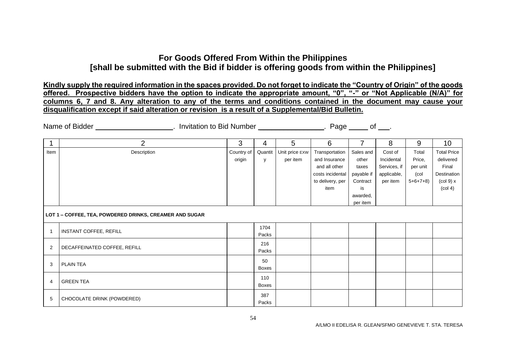### **For Goods Offered From Within the Philippines [shall be submitted with the Bid if bidder is offering goods from within the Philippines]**

**Kindly supply the required information in the spaces provided. Do not forget to indicate the "Country of Origin" of the goods offered. Prospective bidders have the option to indicate the appropriate amount, "0", "-" or "Not Applicable (N/A)" for columns 6, 7 and 8. Any alteration to any of the terms and conditions contained in the document may cause your disqualification except if said alteration or revision is a result of a Supplemental/Bid Bulletin.**

Name of Bidder **. Conserver a Conserver 20 and 1** mortation to Bid Number **Conserver 20 and 20 and 20 and 20 and 20** and 20 and 20 and 20 and 20 and 20 and 20 and 20 and 20 and 20 and 20 and 20 and 20 and 20 and 20 and 20

|              | $\overline{2}$                                          | 3          | 4            | 5              | 6                | 7          | 8            | 9         | 10 <sup>°</sup>                |
|--------------|---------------------------------------------------------|------------|--------------|----------------|------------------|------------|--------------|-----------|--------------------------------|
| Item         | Description                                             | Country of | Quantit      | Unit price EXW | Transportation   | Sales and  | Cost of      | Total     | <b>Total Price</b>             |
|              |                                                         | origin     | y            | per item       | and Insurance    | other      | Incidental   | Price,    | delivered                      |
|              |                                                         |            |              |                | and all other    | taxes      | Services, if | per unit  | Final                          |
|              |                                                         |            |              |                | costs incidental | payable if | applicable,  | (col      | Destination                    |
|              |                                                         |            |              |                | to delivery, per | Contract   | per item     | $5+6+7+8$ | $\left(\text{col } 9\right)$ x |
|              |                                                         |            |              |                | item             | is         |              |           | $\left(\text{col } 4\right)$   |
|              |                                                         |            |              |                |                  | awarded,   |              |           |                                |
|              |                                                         |            |              |                |                  | per item   |              |           |                                |
|              | LOT 1 - COFFEE, TEA, POWDERED DRINKS, CREAMER AND SUGAR |            |              |                |                  |            |              |           |                                |
|              |                                                         |            | 1704         |                |                  |            |              |           |                                |
| $\mathbf{1}$ | INSTANT COFFEE, REFILL                                  |            | Packs        |                |                  |            |              |           |                                |
|              |                                                         |            | 216          |                |                  |            |              |           |                                |
| 2            | DECAFFEINATED COFFEE, REFILL                            |            | Packs        |                |                  |            |              |           |                                |
|              |                                                         |            | 50           |                |                  |            |              |           |                                |
| 3            | <b>PLAIN TEA</b>                                        |            | Boxes        |                |                  |            |              |           |                                |
|              |                                                         |            | 110          |                |                  |            |              |           |                                |
| 4            | <b>GREEN TEA</b>                                        |            | <b>Boxes</b> |                |                  |            |              |           |                                |
|              |                                                         |            |              |                |                  |            |              |           |                                |
| 5            | CHOCOLATE DRINK (POWDERED)                              |            | 387          |                |                  |            |              |           |                                |
|              |                                                         |            | Packs        |                |                  |            |              |           |                                |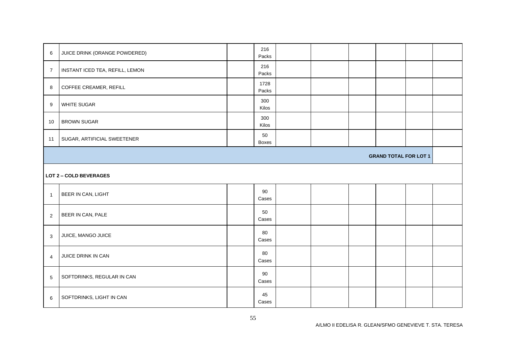| 6                            | JUICE DRINK (ORANGE POWDERED)   | 216<br>Packs  |  |  |  |  |  |  |
|------------------------------|---------------------------------|---------------|--|--|--|--|--|--|
| $\overline{7}$               | INSTANT ICED TEA, REFILL, LEMON | 216<br>Packs  |  |  |  |  |  |  |
| 8                            | COFFEE CREAMER, REFILL          | 1728<br>Packs |  |  |  |  |  |  |
| 9                            | WHITE SUGAR                     | 300<br>Kilos  |  |  |  |  |  |  |
| 10                           | <b>BROWN SUGAR</b>              | 300<br>Kilos  |  |  |  |  |  |  |
| 11                           | SUGAR, ARTIFICIAL SWEETENER     | 50<br>Boxes   |  |  |  |  |  |  |
| <b>GRAND TOTAL FOR LOT 1</b> |                                 |               |  |  |  |  |  |  |
|                              | <b>LOT 2 - COLD BEVERAGES</b>   |               |  |  |  |  |  |  |
| $\overline{1}$               | BEER IN CAN, LIGHT              | 90<br>Cases   |  |  |  |  |  |  |
| $\sqrt{2}$                   | BEER IN CAN, PALE               | 50<br>Cases   |  |  |  |  |  |  |
| 3                            | JUICE, MANGO JUICE              | 80<br>Cases   |  |  |  |  |  |  |
| $\overline{4}$               | JUICE DRINK IN CAN              | 80<br>Cases   |  |  |  |  |  |  |
| $\overline{5}$               | SOFTDRINKS, REGULAR IN CAN      | 90<br>Cases   |  |  |  |  |  |  |
| 6                            | SOFTDRINKS, LIGHT IN CAN        | 45<br>Cases   |  |  |  |  |  |  |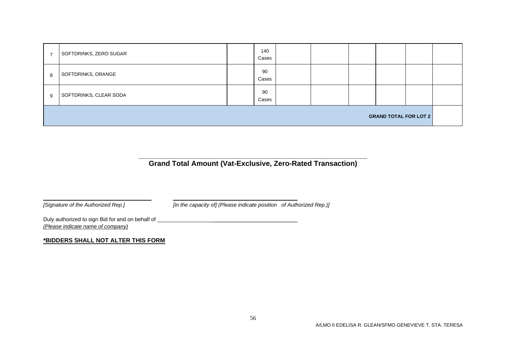| $\overline{ }$               | SOFTDRINKS, ZERO SUGAR |  | 140<br>Cases |  |  |  |  |  |
|------------------------------|------------------------|--|--------------|--|--|--|--|--|
| 8                            | SOFTDRINKS, ORANGE     |  | 90<br>Cases  |  |  |  |  |  |
| 9                            | SOFTDRINKS, CLEAR SODA |  | 90<br>Cases  |  |  |  |  |  |
| <b>GRAND TOTAL FOR LOT 2</b> |                        |  |              |  |  |  |  |  |

#### **\_\_\_\_\_\_\_\_\_\_\_\_\_\_\_\_\_\_\_\_\_\_\_\_\_\_\_\_\_\_\_\_\_\_\_\_\_\_\_\_\_\_\_\_\_\_\_\_\_\_\_\_\_\_\_\_\_ Grand Total Amount (Vat-Exclusive, Zero-Rated Transaction)**

*[Signature of the Authorized Rep.] [in the capacity of] (Please indicate position of Authorized Rep.)]*

Duly authorized to sign Bid for and on behalf of \_\_\_\_\_\_\_\_\_\_\_\_\_\_\_\_\_\_\_\_\_\_\_\_\_\_\_\_\_\_\_\_ *(Please indicate name of company)*

#### **\*BIDDERS SHALL NOT ALTER THIS FORM**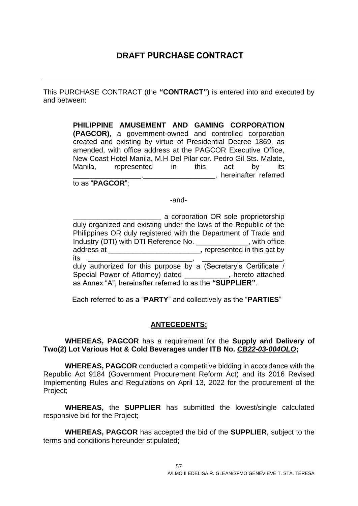This PURCHASE CONTRACT (the **"CONTRACT"**) is entered into and executed by and between:

> <span id="page-56-0"></span>**PHILIPPINE AMUSEMENT AND GAMING CORPORATION (PAGCOR)**, a government-owned and controlled corporation created and existing by virtue of Presidential Decree 1869, as amended, with office address at the PAGCOR Executive Office, New Coast Hotel Manila, M.H Del Pilar cor. Pedro Gil Sts. Malate, Manila, represented in this act by its \_\_\_\_\_\_\_\_\_\_\_\_\_\_\_\_\_,\_\_\_\_\_\_\_\_\_\_\_\_\_\_\_\_\_\_, hereinafter referred

to as "**PAGCOR**";

-and-

**Example 2** a corporation OR sole proprietorship duly organized and existing under the laws of the Republic of the Philippines OR duly registered with the Department of Trade and Industry (DTI) with DTI Reference No. \_\_\_\_\_\_\_\_\_\_\_\_\_, with office address at \_\_\_\_\_\_\_\_\_\_\_\_\_\_\_\_\_\_\_\_\_\_\_\_, represented in this act by its \_\_\_\_\_\_\_\_\_\_\_\_\_\_\_\_\_\_\_\_\_\_\_\_\_\_, \_\_\_\_\_\_\_\_\_\_\_\_\_\_\_\_\_\_\_\_, duly authorized for this purpose by a (Secretary's Certificate / Special Power of Attorney) dated **Example 2.**, hereto attached as Annex "A", hereinafter referred to as the **"SUPPLIER"**.

Each referred to as a "**PARTY**" and collectively as the "**PARTIES**"

#### **ANTECEDENTS:**

**WHEREAS, PAGCOR** has a requirement for the **Supply and Delivery of Two(2) Lot Various Hot & Cold Beverages under ITB No.** *CB22-03-004OLO***;**

**WHEREAS, PAGCOR** conducted a competitive bidding in accordance with the Republic Act 9184 (Government Procurement Reform Act) and its 2016 Revised Implementing Rules and Regulations on April 13, 2022 for the procurement of the Project;

**WHEREAS,** the **SUPPLIER** has submitted the lowest/single calculated responsive bid for the Project;

**WHEREAS, PAGCOR** has accepted the bid of the **SUPPLIER**, subject to the terms and conditions hereunder stipulated;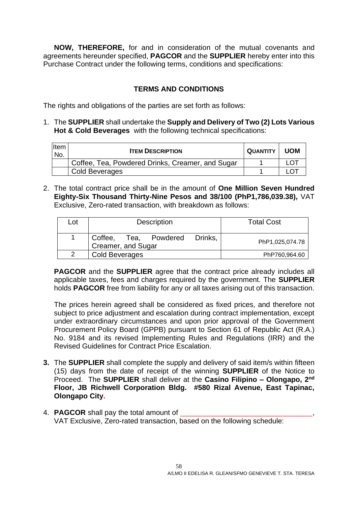**NOW, THEREFORE,** for and in consideration of the mutual covenants and agreements hereunder specified, **PAGCOR** and the **SUPPLIER** hereby enter into this Purchase Contract under the following terms, conditions and specifications:

#### **TERMS AND CONDITIONS**

The rights and obligations of the parties are set forth as follows:

1. The **SUPPLIER** shall undertake the **Supply and Delivery of Two (2) Lots Various Hot & Cold Beverages** with the following technical specifications:

| Item<br>No. | <b>ITEM DESCRIPTION</b>                          | <b>QUANTITY</b> | <b>UOM</b> |
|-------------|--------------------------------------------------|-----------------|------------|
|             | Coffee, Tea, Powdered Drinks, Creamer, and Sugar |                 |            |
|             | Cold Beverages                                   |                 |            |

2. The total contract price shall be in the amount of **One Million Seven Hundred Eighty-Six Thousand Thirty-Nine Pesos and 38/100 (PhP1,786,039.38),** VAT Exclusive, Zero-rated transaction, with breakdown as follows:

| Lot           | <b>Description</b>                                        | <b>Total Cost</b> |
|---------------|-----------------------------------------------------------|-------------------|
|               | Coffee,<br>Drinks.<br>Tea, Powdered<br>Creamer, and Sugar | PhP1,025,074.78   |
| $\mathcal{P}$ | <b>Cold Beverages</b>                                     | PhP760,964.60     |

**PAGCOR** and the **SUPPLIER** agree that the contract price already includes all applicable taxes, fees and charges required by the government. The **SUPPLIER** holds **PAGCOR** free from liability for any or all taxes arising out of this transaction.

The prices herein agreed shall be considered as fixed prices, and therefore not subject to price adjustment and escalation during contract implementation, except under extraordinary circumstances and upon prior approval of the Government Procurement Policy Board (GPPB) pursuant to Section 61 of Republic Act (R.A.) No. 9184 and its revised Implementing Rules and Regulations (IRR) and the Revised Guidelines for Contract Price Escalation.

- **3.** The **SUPPLIER** shall complete the supply and delivery of said item/s within fifteen (15) days from the date of receipt of the winning **SUPPLIER** of the Notice to Proceed. The **SUPPLIER** shall deliver at the **Casino Filipino – Olongapo, 2nd Floor, JB Richwell Corporation Bldg. #580 Rizal Avenue, East Tapinac, Olongapo City.**
- 4. **PAGCOR** shall pay the total amount of VAT Exclusive, Zero-rated transaction, based on the following schedule: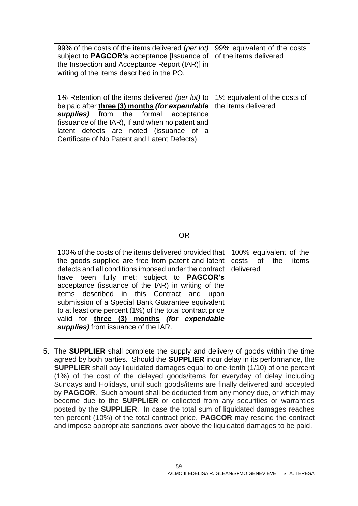| 99% of the costs of the items delivered (per lot)<br>subject to <b>PAGCOR's</b> acceptance [Issuance of<br>the Inspection and Acceptance Report (IAR)] in<br>writing of the items described in the PO.                                                                                        | 99% equivalent of the costs<br>of the items delivered |
|-----------------------------------------------------------------------------------------------------------------------------------------------------------------------------------------------------------------------------------------------------------------------------------------------|-------------------------------------------------------|
| 1% Retention of the items delivered (per lot) to<br>be paid after three (3) months (for expendable<br>supplies) from the formal<br>acceptance<br>(issuance of the IAR), if and when no patent and<br>latent defects are noted (issuance of a<br>Certificate of No Patent and Latent Defects). | 1% equivalent of the costs of<br>the items delivered  |

#### OR

| 100% of the costs of the items delivered provided that 100% equivalent of the |       |
|-------------------------------------------------------------------------------|-------|
| the goods supplied are free from patent and latent   costs of the             | items |
| defects and all conditions imposed under the contract delivered               |       |
| have been fully met; subject to <b>PAGCOR's</b>                               |       |
| acceptance (issuance of the IAR) in writing of the                            |       |
| items described in this Contract and upon                                     |       |
| submission of a Special Bank Guarantee equivalent                             |       |
| to at least one percent (1%) of the total contract price                      |       |
| valid for three (3) months (for expendable                                    |       |
| supplies) from issuance of the IAR.                                           |       |
|                                                                               |       |

5. The **SUPPLIER** shall complete the supply and delivery of goods within the time agreed by both parties. Should the **SUPPLIER** incur delay in its performance, the **SUPPLIER** shall pay liquidated damages equal to one-tenth (1/10) of one percent (1%) of the cost of the delayed goods/items for everyday of delay including Sundays and Holidays, until such goods/items are finally delivered and accepted by **PAGCOR**. Such amount shall be deducted from any money due, or which may become due to the **SUPPLIER** or collected from any securities or warranties posted by the **SUPPLIER**. In case the total sum of liquidated damages reaches ten percent (10%) of the total contract price, **PAGCOR** may rescind the contract and impose appropriate sanctions over above the liquidated damages to be paid.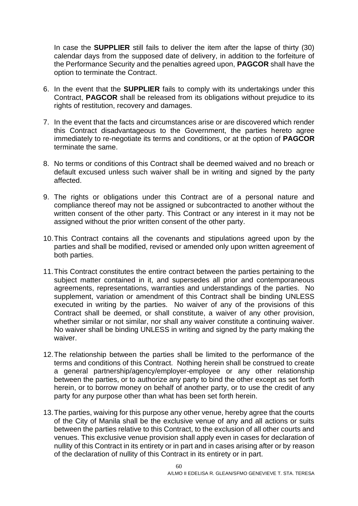In case the **SUPPLIER** still fails to deliver the item after the lapse of thirty (30) calendar days from the supposed date of delivery, in addition to the forfeiture of the Performance Security and the penalties agreed upon, **PAGCOR** shall have the option to terminate the Contract.

- 6. In the event that the **SUPPLIER** fails to comply with its undertakings under this Contract, **PAGCOR** shall be released from its obligations without prejudice to its rights of restitution, recovery and damages.
- 7. In the event that the facts and circumstances arise or are discovered which render this Contract disadvantageous to the Government, the parties hereto agree immediately to re-negotiate its terms and conditions, or at the option of **PAGCOR** terminate the same.
- 8. No terms or conditions of this Contract shall be deemed waived and no breach or default excused unless such waiver shall be in writing and signed by the party affected.
- 9. The rights or obligations under this Contract are of a personal nature and compliance thereof may not be assigned or subcontracted to another without the written consent of the other party. This Contract or any interest in it may not be assigned without the prior written consent of the other party.
- 10.This Contract contains all the covenants and stipulations agreed upon by the parties and shall be modified, revised or amended only upon written agreement of both parties.
- 11.This Contract constitutes the entire contract between the parties pertaining to the subject matter contained in it, and supersedes all prior and contemporaneous agreements, representations, warranties and understandings of the parties. No supplement, variation or amendment of this Contract shall be binding UNLESS executed in writing by the parties. No waiver of any of the provisions of this Contract shall be deemed, or shall constitute, a waiver of any other provision, whether similar or not similar, nor shall any waiver constitute a continuing waiver. No waiver shall be binding UNLESS in writing and signed by the party making the waiver.
- 12.The relationship between the parties shall be limited to the performance of the terms and conditions of this Contract. Nothing herein shall be construed to create a general partnership/agency/employer-employee or any other relationship between the parties, or to authorize any party to bind the other except as set forth herein, or to borrow money on behalf of another party, or to use the credit of any party for any purpose other than what has been set forth herein.
- 13.The parties, waiving for this purpose any other venue, hereby agree that the courts of the City of Manila shall be the exclusive venue of any and all actions or suits between the parties relative to this Contract, to the exclusion of all other courts and venues. This exclusive venue provision shall apply even in cases for declaration of nullity of this Contract in its entirety or in part and in cases arising after or by reason of the declaration of nullity of this Contract in its entirety or in part.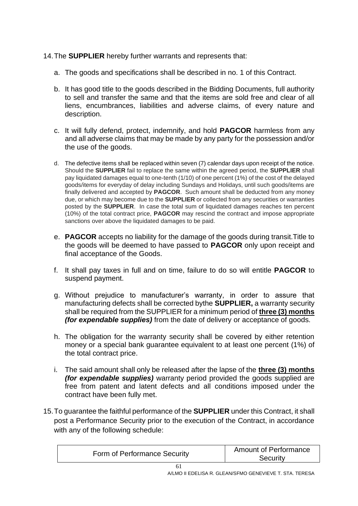#### 14.The **SUPPLIER** hereby further warrants and represents that:

- a. The goods and specifications shall be described in no. 1 of this Contract.
- b. It has good title to the goods described in the Bidding Documents, full authority to sell and transfer the same and that the items are sold free and clear of all liens, encumbrances, liabilities and adverse claims, of every nature and description.
- c. It will fully defend, protect, indemnify, and hold **PAGCOR** harmless from any and all adverse claims that may be made by any party for the possession and/or the use of the goods.
- d. The defective items shall be replaced within seven (7) calendar days upon receipt of the notice. Should the **SUPPLIER** fail to replace the same within the agreed period, the **SUPPLIER** shall pay liquidated damages equal to one-tenth (1/10) of one percent (1%) of the cost of the delayed goods/items for everyday of delay including Sundays and Holidays, until such goods/items are finally delivered and accepted by **PAGCOR**. Such amount shall be deducted from any money due, or which may become due to the **SUPPLIER** or collected from any securities or warranties posted by the **SUPPLIER**. In case the total sum of liquidated damages reaches ten percent (10%) of the total contract price, **PAGCOR** may rescind the contract and impose appropriate sanctions over above the liquidated damages to be paid.
- e. **PAGCOR** accepts no liability for the damage of the goods during transit.Title to the goods will be deemed to have passed to **PAGCOR** only upon receipt and final acceptance of the Goods.
- f. It shall pay taxes in full and on time, failure to do so will entitle **PAGCOR** to suspend payment.
- g. Without prejudice to manufacturer's warranty, in order to assure that manufacturing defects shall be corrected bythe **SUPPLIER,** a warranty security shall be required from the SUPPLIER for a minimum period of **three (3) months** *(for expendable supplies)* from the date of delivery or acceptance of goods.
- h. The obligation for the warranty security shall be covered by either retention money or a special bank guarantee equivalent to at least one percent (1%) of the total contract price.
- i. The said amount shall only be released after the lapse of the **three (3) months** *(for expendable supplies)* warranty period provided the goods supplied are free from patent and latent defects and all conditions imposed under the contract have been fully met.
- 15.To guarantee the faithful performance of the **SUPPLIER** under this Contract, it shall post a Performance Security prior to the execution of the Contract, in accordance with any of the following schedule:

| Form of Performance Security | <b>Amount of Performance</b><br>Security |
|------------------------------|------------------------------------------|
|                              |                                          |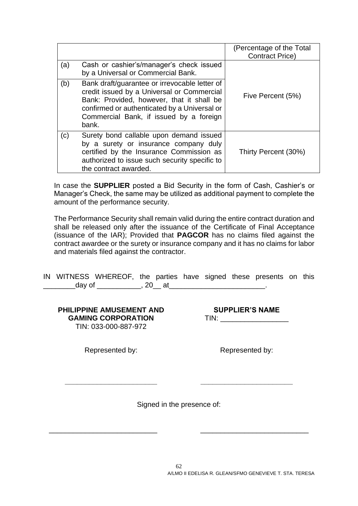|     |                                                                                                                                                                                                                                              | (Percentage of the Total<br><b>Contract Price)</b> |
|-----|----------------------------------------------------------------------------------------------------------------------------------------------------------------------------------------------------------------------------------------------|----------------------------------------------------|
| (a) | Cash or cashier's/manager's check issued<br>by a Universal or Commercial Bank.                                                                                                                                                               |                                                    |
| (b) | Bank draft/guarantee or irrevocable letter of<br>credit issued by a Universal or Commercial<br>Bank: Provided, however, that it shall be<br>confirmed or authenticated by a Universal or<br>Commercial Bank, if issued by a foreign<br>bank. | Five Percent (5%)                                  |
| (c) | Surety bond callable upon demand issued<br>by a surety or insurance company duly<br>certified by the Insurance Commission as<br>authorized to issue such security specific to<br>the contract awarded.                                       | Thirty Percent (30%)                               |

In case the **SUPPLIER** posted a Bid Security in the form of Cash, Cashier's or Manager's Check, the same may be utilized as additional payment to complete the amount of the performance security.

The Performance Security shall remain valid during the entire contract duration and shall be released only after the issuance of the Certificate of Final Acceptance (issuance of the IAR); Provided that **PAGCOR** has no claims filed against the contract awardee or the surety or insurance company and it has no claims for labor and materials filed against the contractor.

|        | IN WITNESS WHEREOF, the parties have signed these presents on this |         |  |  |  |
|--------|--------------------------------------------------------------------|---------|--|--|--|
| day of |                                                                    | . 20 at |  |  |  |

**PHILIPPINE AMUSEMENT AND GAMING CORPORATION** TIN: 033-000-887-972

**SUPPLIER'S NAME** TIN: \_\_\_\_\_\_\_\_\_\_\_\_\_\_\_\_\_

Represented by:

**\_\_\_\_\_\_\_\_\_\_\_\_\_\_\_\_\_\_\_\_\_\_\_**

Represented by:

**\_\_\_\_\_\_\_\_\_\_\_\_\_\_\_\_\_\_\_\_\_\_\_**

Signed in the presence of:

\_\_\_\_\_\_\_\_\_\_\_\_\_\_\_\_\_\_\_\_\_\_\_\_\_\_\_ \_\_\_\_\_\_\_\_\_\_\_\_\_\_\_\_\_\_\_\_\_\_\_\_\_\_\_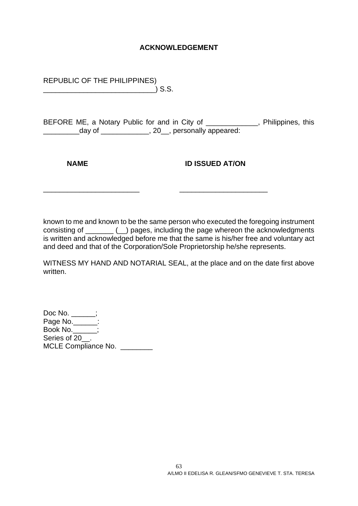#### **ACKNOWLEDGEMENT**

REPUBLIC OF THE PHILIPPINES) \_\_\_\_\_\_\_\_\_\_\_\_\_\_\_\_\_\_\_\_\_\_\_\_\_\_\_\_) S.S.

BEFORE ME, a Notary Public for and in City of \_\_\_\_\_\_\_\_\_\_\_\_\_, Philippines, this \_\_\_\_\_\_\_\_\_day of \_\_\_\_\_\_\_\_\_\_\_\_, 20\_\_, personally appeared:

**NAME ID ISSUED AT/ON** 

known to me and known to be the same person who executed the foregoing instrument consisting of \_\_\_\_\_\_\_ (\_\_) pages, including the page whereon the acknowledgments is written and acknowledged before me that the same is his/her free and voluntary act and deed and that of the Corporation/Sole Proprietorship he/she represents.

\_\_\_\_\_\_\_\_\_\_\_\_\_\_\_\_\_\_\_\_\_\_\_\_ \_\_\_\_\_\_\_\_\_\_\_\_\_\_\_\_\_\_\_\_\_\_

WITNESS MY HAND AND NOTARIAL SEAL, at the place and on the date first above written.

Doc No. \_\_\_\_\_\_; Page No.\_\_\_\_\_\_: Book No.\_\_\_\_\_\_; Series of 20<sup>.</sup> MCLE Compliance No.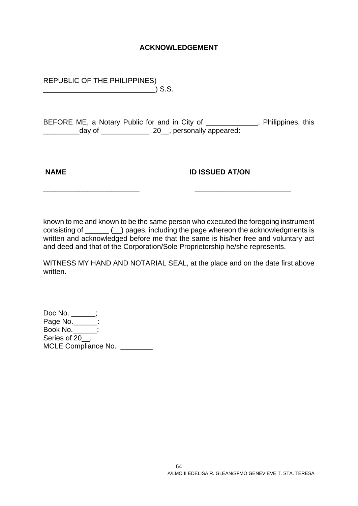#### **ACKNOWLEDGEMENT**

REPUBLIC OF THE PHILIPPINES) \_\_\_\_\_\_\_\_\_\_\_\_\_\_\_\_\_\_\_\_\_\_\_\_\_\_\_\_) S.S.

BEFORE ME, a Notary Public for and in City of \_\_\_\_\_\_\_\_\_\_\_\_\_, Philippines, this \_\_\_\_\_\_\_\_\_day of \_\_\_\_\_\_\_\_\_\_\_\_, 20\_\_, personally appeared:

**NAME ID ISSUED AT/ON** 

known to me and known to be the same person who executed the foregoing instrument consisting of \_\_\_\_\_\_ (\_\_) pages, including the page whereon the acknowledgments is written and acknowledged before me that the same is his/her free and voluntary act and deed and that of the Corporation/Sole Proprietorship he/she represents.

**\_\_\_\_\_\_\_\_\_\_\_\_\_\_\_\_\_\_\_\_\_\_\_\_ \_\_\_\_\_\_\_\_\_\_\_\_\_\_\_\_\_\_\_\_\_\_\_\_**

WITNESS MY HAND AND NOTARIAL SEAL, at the place and on the date first above written.

Doc No. \_\_\_\_\_\_; Page No.\_\_\_\_\_\_: Book No.\_\_\_\_\_\_; Series of 20<sup>.</sup> MCLE Compliance No.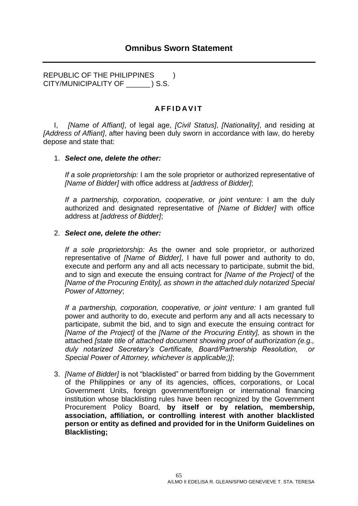<span id="page-64-0"></span>REPUBLIC OF THE PHILIPPINES ) CITY/MUNICIPALITY OF \_\_\_\_\_\_ ) S.S.

#### **A F F I D A V I T**

I, *[Name of Affiant]*, of legal age, *[Civil Status]*, *[Nationality]*, and residing at *[Address of Affiant]*, after having been duly sworn in accordance with law, do hereby depose and state that:

#### 1. *Select one, delete the other:*

*If a sole proprietorship:* I am the sole proprietor or authorized representative of *[Name of Bidder]* with office address at *[address of Bidder]*;

*If a partnership, corporation, cooperative, or joint venture:* I am the duly authorized and designated representative of *[Name of Bidder]* with office address at *[address of Bidder]*;

#### 2. *Select one, delete the other:*

*If a sole proprietorship:* As the owner and sole proprietor, or authorized representative of *[Name of Bidder]*, I have full power and authority to do, execute and perform any and all acts necessary to participate, submit the bid, and to sign and execute the ensuing contract for *[Name of the Project]* of the *[Name of the Procuring Entity], as shown in the attached duly notarized Special Power of Attorney*;

*If a partnership, corporation, cooperative, or joint venture:* I am granted full power and authority to do, execute and perform any and all acts necessary to participate, submit the bid, and to sign and execute the ensuing contract for *[Name of the Project]* of the *[Name of the Procuring Entity],* as shown in the attached *[state title of attached document showing proof of authorization (e.g., duly notarized Secretary's Certificate, Board/Partnership Resolution, or Special Power of Attorney, whichever is applicable;)]*;

3. *[Name of Bidder]* is not "blacklisted" or barred from bidding by the Government of the Philippines or any of its agencies, offices, corporations, or Local Government Units, foreign government/foreign or international financing institution whose blacklisting rules have been recognized by the Government Procurement Policy Board, **by itself or by relation, membership, association, affiliation, or controlling interest with another blacklisted person or entity as defined and provided for in the Uniform Guidelines on Blacklisting;**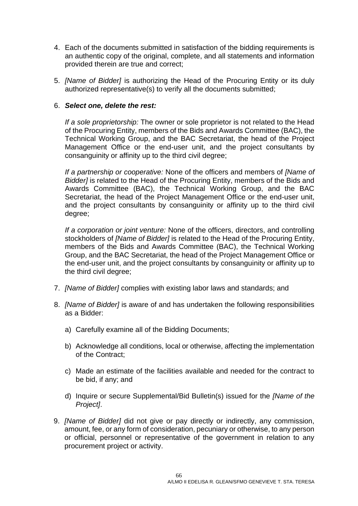- 4. Each of the documents submitted in satisfaction of the bidding requirements is an authentic copy of the original, complete, and all statements and information provided therein are true and correct;
- 5. *[Name of Bidder]* is authorizing the Head of the Procuring Entity or its duly authorized representative(s) to verify all the documents submitted;

#### 6. *Select one, delete the rest:*

*If a sole proprietorship:* The owner or sole proprietor is not related to the Head of the Procuring Entity, members of the Bids and Awards Committee (BAC), the Technical Working Group, and the BAC Secretariat, the head of the Project Management Office or the end-user unit, and the project consultants by consanguinity or affinity up to the third civil degree;

*If a partnership or cooperative:* None of the officers and members of *[Name of Bidder]* is related to the Head of the Procuring Entity, members of the Bids and Awards Committee (BAC), the Technical Working Group, and the BAC Secretariat, the head of the Project Management Office or the end-user unit, and the project consultants by consanguinity or affinity up to the third civil degree;

*If a corporation or joint venture:* None of the officers, directors, and controlling stockholders of *[Name of Bidder]* is related to the Head of the Procuring Entity, members of the Bids and Awards Committee (BAC), the Technical Working Group, and the BAC Secretariat, the head of the Project Management Office or the end-user unit, and the project consultants by consanguinity or affinity up to the third civil degree;

- 7. *[Name of Bidder]* complies with existing labor laws and standards; and
- 8. *[Name of Bidder]* is aware of and has undertaken the following responsibilities as a Bidder:
	- a) Carefully examine all of the Bidding Documents;
	- b) Acknowledge all conditions, local or otherwise, affecting the implementation of the Contract;
	- c) Made an estimate of the facilities available and needed for the contract to be bid, if any; and
	- d) Inquire or secure Supplemental/Bid Bulletin(s) issued for the *[Name of the Project]*.
- 9. *[Name of Bidder]* did not give or pay directly or indirectly, any commission, amount, fee, or any form of consideration, pecuniary or otherwise, to any person or official, personnel or representative of the government in relation to any procurement project or activity.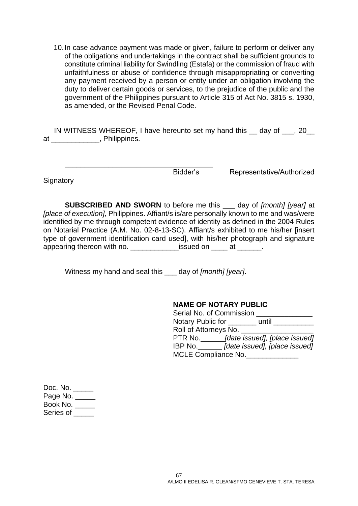10.In case advance payment was made or given, failure to perform or deliver any of the obligations and undertakings in the contract shall be sufficient grounds to constitute criminal liability for Swindling (Estafa) or the commission of fraud with unfaithfulness or abuse of confidence through misappropriating or converting any payment received by a person or entity under an obligation involving the duty to deliver certain goods or services, to the prejudice of the public and the government of the Philippines pursuant to Article 315 of Act No. 3815 s. 1930, as amended, or the Revised Penal Code.

IN WITNESS WHEREOF, I have hereunto set my hand this \_\_ day of \_\_\_, 20\_\_ at \_\_\_\_\_\_\_\_\_\_\_\_, Philippines.

**Signatory** 

Bidder's Representative/Authorized

**SUBSCRIBED AND SWORN** to before me this \_\_\_ day of *[month] [year]* at *[place of execution],* Philippines. Affiant/s is/are personally known to me and was/were identified by me through competent evidence of identity as defined in the 2004 Rules on Notarial Practice (A.M. No. 02-8-13-SC). Affiant/s exhibited to me his/her [insert type of government identification card used], with his/her photograph and signature appearing thereon with no. The same issued on the at the same of the same state.

Witness my hand and seal this \_\_\_ day of *[month] [year]*.

\_\_\_\_\_\_\_\_\_\_\_\_\_\_\_\_\_\_\_\_\_\_\_\_\_\_\_\_\_\_\_\_\_\_\_\_\_

#### **NAME OF NOTARY PUBLIC**

| Serial No. of Commission   |                               |  |  |  |  |  |
|----------------------------|-------------------------------|--|--|--|--|--|
| Notary Public for          | until                         |  |  |  |  |  |
| Roll of Attorneys No.      |                               |  |  |  |  |  |
| PTR No.                    | [date issued], [place issued] |  |  |  |  |  |
| IBP No.                    | [date issued], [place issued] |  |  |  |  |  |
| <b>MCLE Compliance No.</b> |                               |  |  |  |  |  |

| Doc. No.   |
|------------|
| Page No. _ |
| Book No.   |
| Series of  |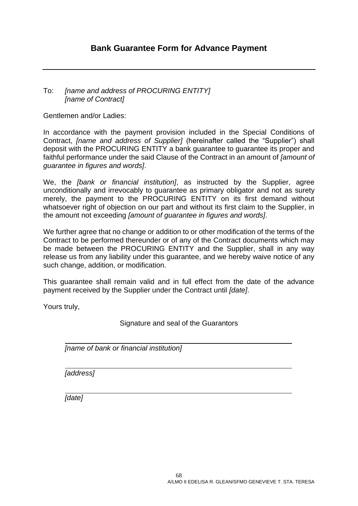#### <span id="page-67-0"></span>To: *[name and address of PROCURING ENTITY] [name of Contract]*

Gentlemen and/or Ladies:

In accordance with the payment provision included in the Special Conditions of Contract, *[name and address of Supplier]* (hereinafter called the "Supplier") shall deposit with the PROCURING ENTITY a bank guarantee to guarantee its proper and faithful performance under the said Clause of the Contract in an amount of *[amount of guarantee in figures and words]*.

We, the *[bank or financial institution]*, as instructed by the Supplier, agree unconditionally and irrevocably to guarantee as primary obligator and not as surety merely, the payment to the PROCURING ENTITY on its first demand without whatsoever right of objection on our part and without its first claim to the Supplier, in the amount not exceeding *[amount of guarantee in figures and words]*.

We further agree that no change or addition to or other modification of the terms of the Contract to be performed thereunder or of any of the Contract documents which may be made between the PROCURING ENTITY and the Supplier, shall in any way release us from any liability under this guarantee, and we hereby waive notice of any such change, addition, or modification.

This guarantee shall remain valid and in full effect from the date of the advance payment received by the Supplier under the Contract until *[date]*.

Yours truly,

Signature and seal of the Guarantors

*[name of bank or financial institution]*

*[address]*

*[date]*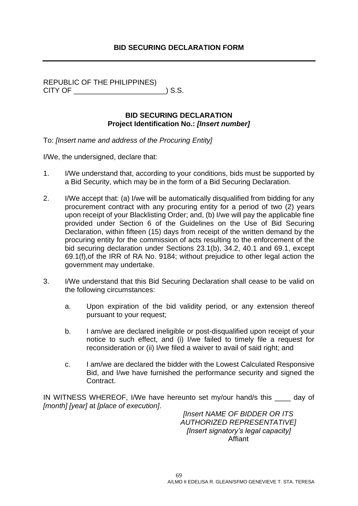#### **BID SECURING DECLARATION FORM**

<span id="page-68-0"></span>REPUBLIC OF THE PHILIPPINES) CITY OF \_\_\_\_\_\_\_\_\_\_\_\_\_\_\_\_\_\_\_\_\_\_\_) S.S.

#### **BID SECURING DECLARATION Project Identification No.:** *[Insert number]*

To: *[Insert name and address of the Procuring Entity]*

I/We, the undersigned, declare that:

- 1. I/We understand that, according to your conditions, bids must be supported by a Bid Security, which may be in the form of a Bid Securing Declaration.
- 2. I/We accept that: (a) I/we will be automatically disqualified from bidding for any procurement contract with any procuring entity for a period of two (2) years upon receipt of your Blacklisting Order; and, (b) I/we will pay the applicable fine provided under Section 6 of the Guidelines on the Use of Bid Securing Declaration, within fifteen (15) days from receipt of the written demand by the procuring entity for the commission of acts resulting to the enforcement of the bid securing declaration under Sections 23.1(b), 34.2, 40.1 and 69.1, except 69.1(f),of the IRR of RA No. 9184; without prejudice to other legal action the government may undertake.
- 3. I/We understand that this Bid Securing Declaration shall cease to be valid on the following circumstances:
	- a. Upon expiration of the bid validity period, or any extension thereof pursuant to your request;
	- b. I am/we are declared ineligible or post-disqualified upon receipt of your notice to such effect, and (i) I/we failed to timely file a request for reconsideration or (ii) I/we filed a waiver to avail of said right; and
	- c. I am/we are declared the bidder with the Lowest Calculated Responsive Bid, and I/we have furnished the performance security and signed the Contract.

IN WITNESS WHEREOF, I/We have hereunto set my/our hand/s this day of *[month] [year]* at *[place of execution]*.

> *[Insert NAME OF BIDDER OR ITS AUTHORIZED REPRESENTATIVE] [Insert signatory's legal capacity]* Affiant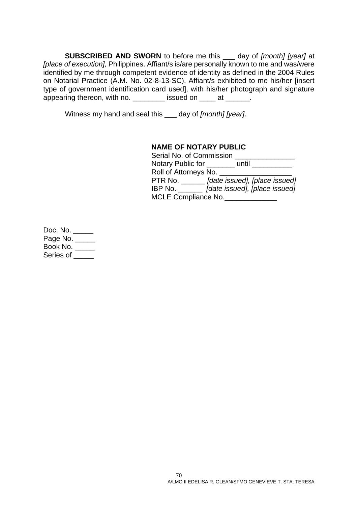**SUBSCRIBED AND SWORN** to before me this \_\_\_ day of *[month] [year]* at *[place of execution],* Philippines. Affiant/s is/are personally known to me and was/were identified by me through competent evidence of identity as defined in the 2004 Rules on Notarial Practice (A.M. No. 02-8-13-SC). Affiant/s exhibited to me his/her [insert type of government identification card used], with his/her photograph and signature appearing thereon, with no. \_\_\_\_\_\_\_\_\_ issued on \_\_\_\_ at \_\_\_\_\_\_.

Witness my hand and seal this \_\_\_ day of *[month] [year]*.

#### **NAME OF NOTARY PUBLIC**

| Serial No. of Commission |       |                               |
|--------------------------|-------|-------------------------------|
| Notary Public for        | until |                               |
| Roll of Attorneys No.    |       |                               |
| PTR No.                  |       | [date issued], [place issued] |
| IBP No. $\qquad$         |       | [date issued], [place issued] |
| MCLE Compliance No.      |       |                               |

Doc. No. \_\_\_\_\_ Page No. \_\_\_\_\_ Book No. \_\_\_\_\_ Series of \_\_\_\_\_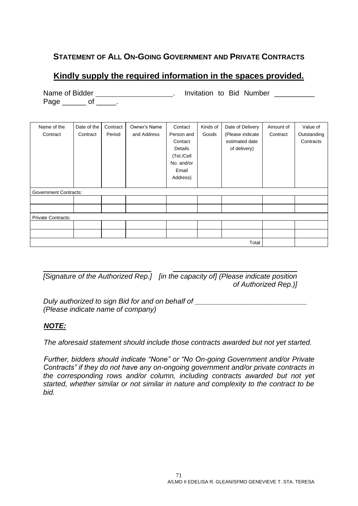### <span id="page-70-0"></span>**STATEMENT OF ALL ON-GOING GOVERNMENT AND PRIVATE CONTRACTS**

## **Kindly supply the required information in the spaces provided.**

|                              | INAILLE OI DIUGH<br><b>INVIGUON LO DIO NUMBRI</b> |          |              |            |          |                  |           |             |
|------------------------------|---------------------------------------------------|----------|--------------|------------|----------|------------------|-----------|-------------|
| Page ________ of ______      |                                                   |          |              |            |          |                  |           |             |
|                              |                                                   |          |              |            |          |                  |           |             |
|                              |                                                   |          |              |            |          |                  |           |             |
|                              |                                                   |          |              |            |          |                  |           |             |
| Name of the                  | Date of the                                       | Contract | Owner's Name | Contact    | Kinds of | Date of Delivery | Amount of | Value of    |
| Contract                     | Contract                                          | Period   | and Address  | Person and | Goods    | (Please indicate | Contract  | Outstanding |
|                              |                                                   |          |              | Contact    |          | estimated date   |           | Contracts   |
|                              |                                                   |          |              | Details    |          | of delivery)     |           |             |
|                              |                                                   |          |              | (Tel./Cell |          |                  |           |             |
|                              |                                                   |          |              | No. and/or |          |                  |           |             |
|                              |                                                   |          |              | Email      |          |                  |           |             |
|                              |                                                   |          |              | Address)   |          |                  |           |             |
|                              |                                                   |          |              |            |          |                  |           |             |
| <b>Government Contracts:</b> |                                                   |          |              |            |          |                  |           |             |
|                              |                                                   |          |              |            |          |                  |           |             |
|                              |                                                   |          |              |            |          |                  |           |             |
| <b>Private Contracts:</b>    |                                                   |          |              |            |          |                  |           |             |
|                              |                                                   |          |              |            |          |                  |           |             |
|                              |                                                   |          |              |            |          |                  |           |             |
|                              |                                                   |          |              |            |          | Total            |           |             |

Name of Bidder . Invitation to Bid Number

*[Signature of the Authorized Rep.] [in the capacity of] (Please indicate position of Authorized Rep.)]*

*Duly authorized to sign Bid for and on behalf of \_\_\_\_\_\_\_\_\_\_\_\_\_\_\_\_\_\_\_\_\_\_\_\_\_\_\_\_ (Please indicate name of company)*

#### *NOTE:*

*The aforesaid statement should include those contracts awarded but not yet started.*

*Further, bidders should indicate "None" or "No On-going Government and/or Private Contracts" if they do not have any on-ongoing government and/or private contracts in the corresponding rows and/or column, including contracts awarded but not yet started, whether similar or not similar in nature and complexity to the contract to be bid.*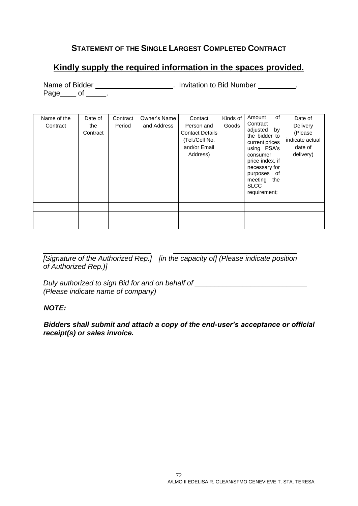### **STATEMENT OF THE SINGLE LARGEST COMPLETED CONTRACT**

## <span id="page-71-0"></span>**Kindly supply the required information in the spaces provided.**

Name of Bidder \_\_\_\_\_\_\_\_\_\_\_\_\_\_\_\_\_\_\_\_\_. Invitation to Bid Number \_\_\_\_\_\_\_\_\_. Page\_\_\_\_\_ of \_\_\_\_\_\_.

| Name of the<br>Contract | Date of<br>the<br>Contract | Contract<br>Period | Owner's Name<br>and Address | Contact<br>Person and<br><b>Contact Details</b><br>(Tel./Cell No.<br>and/or Email<br>Address) | Kinds of<br>Goods | of<br>Amount<br>Contract<br>adjusted<br>by<br>the bidder to<br>current prices<br>using PSA's<br>consumer<br>price index, if<br>necessary for<br>purposes of<br>meeting<br>the<br><b>SLCC</b><br>requirement; | Date of<br>Delivery<br>(Please<br>indicate actual<br>date of<br>delivery) |
|-------------------------|----------------------------|--------------------|-----------------------------|-----------------------------------------------------------------------------------------------|-------------------|--------------------------------------------------------------------------------------------------------------------------------------------------------------------------------------------------------------|---------------------------------------------------------------------------|
|                         |                            |                    |                             |                                                                                               |                   |                                                                                                                                                                                                              |                                                                           |
|                         |                            |                    |                             |                                                                                               |                   |                                                                                                                                                                                                              |                                                                           |
|                         |                            |                    |                             |                                                                                               |                   |                                                                                                                                                                                                              |                                                                           |

*[Signature of the Authorized Rep.] [in the capacity of] (Please indicate position of Authorized Rep.)]*

*Duly authorized to sign Bid for and on behalf of \_\_\_\_\_\_\_\_\_\_\_\_\_\_\_\_\_\_\_\_\_\_\_\_\_\_\_\_ (Please indicate name of company)*

#### *NOTE:*

*Bidders shall submit and attach a copy of the end-user's acceptance or official receipt(s) or sales invoice.*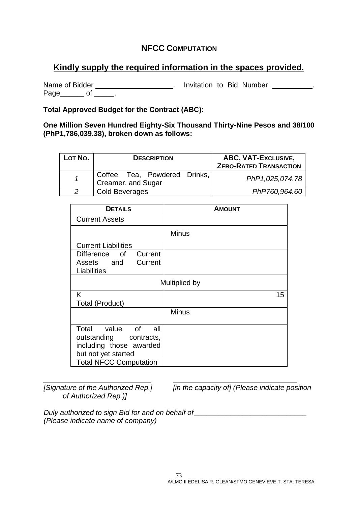## **NFCC COMPUTATION**

## **Kindly supply the required information in the spaces provided.**

Name of Bidder \_\_\_\_\_\_\_\_\_\_\_\_\_\_\_\_\_\_\_\_\_\_. Invitation to Bid Number \_\_\_\_\_\_\_\_\_\_. Page\_\_\_\_\_\_\_ of \_\_\_\_\_\_.

**Total Approved Budget for the Contract (ABC):** 

**One Million Seven Hundred Eighty-Six Thousand Thirty-Nine Pesos and 38/100 (PhP1,786,039.38), broken down as follows:**

| LOT No. | <b>DESCRIPTION</b>                                  | ABC, VAT-Exclusive,<br><b>ZERO-RATED TRANSACTION</b> |
|---------|-----------------------------------------------------|------------------------------------------------------|
|         | Coffee, Tea, Powdered Drinks,<br>Creamer, and Sugar | PhP1,025,074.78                                      |
|         | Cold Beverages                                      | PhP760,964.60                                        |

| <b>DETAILS</b>                       | <b>AMOUNT</b> |  |  |
|--------------------------------------|---------------|--|--|
| <b>Current Assets</b>                |               |  |  |
| <b>Minus</b>                         |               |  |  |
| <b>Current Liabilities</b>           |               |  |  |
| Difference of<br>Current             |               |  |  |
| Current<br>Assets and<br>Liabilities |               |  |  |
| Multiplied by                        |               |  |  |
| Κ                                    | 15            |  |  |
| <b>Total (Product)</b>               |               |  |  |
| <b>Minus</b>                         |               |  |  |
| Total value of<br>all                |               |  |  |
| outstanding contracts,               |               |  |  |
| including those awarded              |               |  |  |
| but not yet started                  |               |  |  |
| <b>Total NFCC Computation</b>        |               |  |  |

*of Authorized Rep.)]*

*[Signature of the Authorized Rep.] [in the capacity of] (Please indicate position* 

*Duly authorized to sign Bid for and on behalf of \_\_\_\_\_\_\_\_\_\_\_\_\_\_\_\_\_\_\_\_\_\_\_\_\_\_\_\_ (Please indicate name of company)*